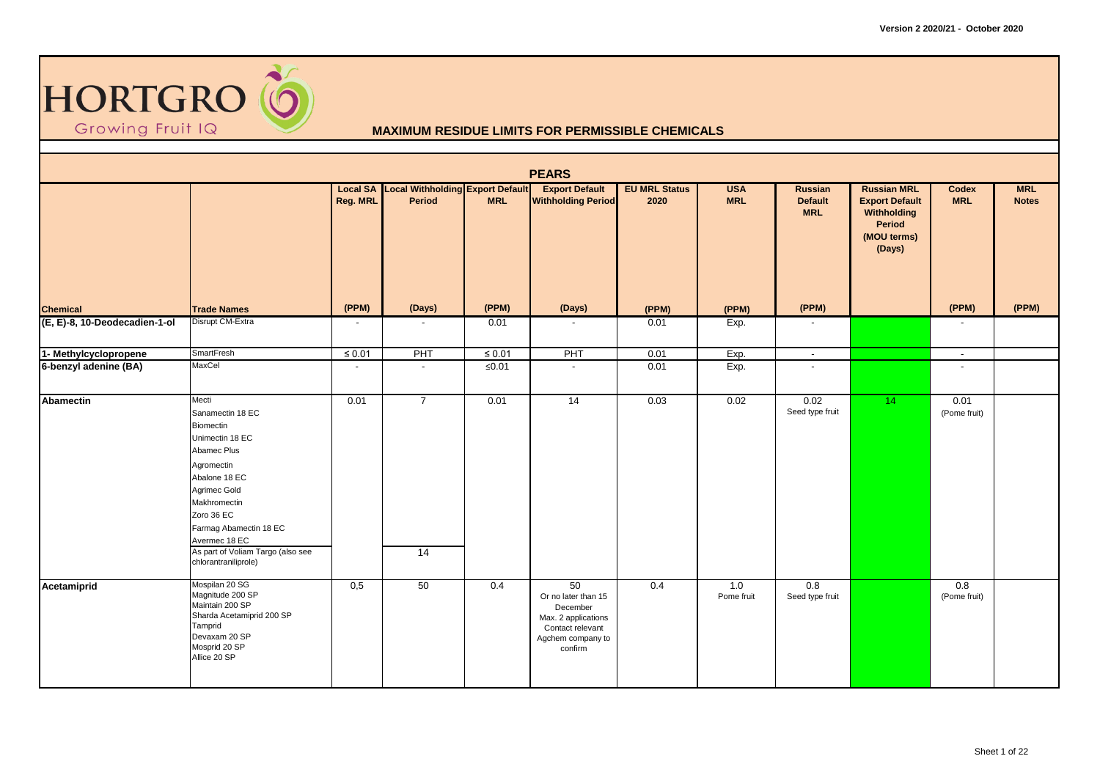

|                               |                                                                                                                                                                                                                                                               |                          |                                                     |             | <b>PEARS</b>                                                                                                     |                              |                          |                                         |                                                                                               |                      |                            |
|-------------------------------|---------------------------------------------------------------------------------------------------------------------------------------------------------------------------------------------------------------------------------------------------------------|--------------------------|-----------------------------------------------------|-------------|------------------------------------------------------------------------------------------------------------------|------------------------------|--------------------------|-----------------------------------------|-----------------------------------------------------------------------------------------------|----------------------|----------------------------|
|                               |                                                                                                                                                                                                                                                               | <b>Reg. MRL</b>          | Local SA Local Withholding Export Default<br>Period | <b>MRL</b>  | <b>Export Default</b><br><b>Withholding Period</b>                                                               | <b>EU MRL Status</b><br>2020 | <b>USA</b><br><b>MRL</b> | Russian<br><b>Default</b><br><b>MRL</b> | <b>Russian MRL</b><br><b>Export Default</b><br>Withholding<br>Period<br>(MOU terms)<br>(Days) | Codex<br><b>MRL</b>  | <b>MRL</b><br><b>Notes</b> |
| <b>Chemical</b>               | <b>Trade Names</b>                                                                                                                                                                                                                                            | (PPM)                    | (Days)                                              | (PPM)       | (Days)                                                                                                           | (PPM)                        | (PPM)                    | (PPM)                                   |                                                                                               | (PPM)                | (PPM)                      |
| (E, E)-8, 10-Deodecadien-1-ol | Disrupt CM-Extra                                                                                                                                                                                                                                              | $\overline{\phantom{a}}$ |                                                     | 0.01        | $\overline{\phantom{a}}$                                                                                         | 0.01                         | Exp.                     | $\overline{\phantom{a}}$                |                                                                                               |                      |                            |
| 1- Methylcyclopropene         | SmartFresh                                                                                                                                                                                                                                                    | $\leq 0.01$              | PHT                                                 | $\leq 0.01$ | PHT                                                                                                              | 0.01                         | Exp.                     | $\sim$                                  |                                                                                               | $\sim$               |                            |
| 6-benzyl adenine (BA)         | MaxCel                                                                                                                                                                                                                                                        | $\overline{\phantom{a}}$ | $\overline{\phantom{a}}$                            | ≤ $0.01$    | $\sim$                                                                                                           | 0.01                         | Exp.                     | $\blacksquare$                          |                                                                                               | $\blacksquare$       |                            |
| <b>Abamectin</b>              | Mecti<br>Sanamectin 18 EC<br>Biomectin<br>Unimectin 18 EC<br>Abamec Plus<br>Agromectin<br>Abalone 18 EC<br>Agrimec Gold<br>Makhromectin<br>Zoro 36 EC<br>Farmag Abamectin 18 EC<br>Avermec 18 EC<br>As part of Voliam Targo (also see<br>chlorantraniliprole) | 0.01                     | $\overline{7}$<br>14                                | 0.01        | $\overline{14}$                                                                                                  | 0.03                         | 0.02                     | 0.02<br>Seed type fruit                 | 14 <sub>1</sub>                                                                               | 0.01<br>(Pome fruit) |                            |
| Acetamiprid                   | Mospilan 20 SG<br>Magnitude 200 SP<br>Maintain 200 SP<br>Sharda Acetamiprid 200 SP<br>Tamprid<br>Devaxam 20 SP<br>Mosprid 20 SP<br>Allice 20 SP                                                                                                               | 0,5                      | 50                                                  | 0.4         | 50<br>Or no later than 15<br>December<br>Max. 2 applications<br>Contact relevant<br>Agchem company to<br>confirm | 0.4                          | 1.0<br>Pome fruit        | 0.8<br>Seed type fruit                  |                                                                                               | 0.8<br>(Pome fruit)  |                            |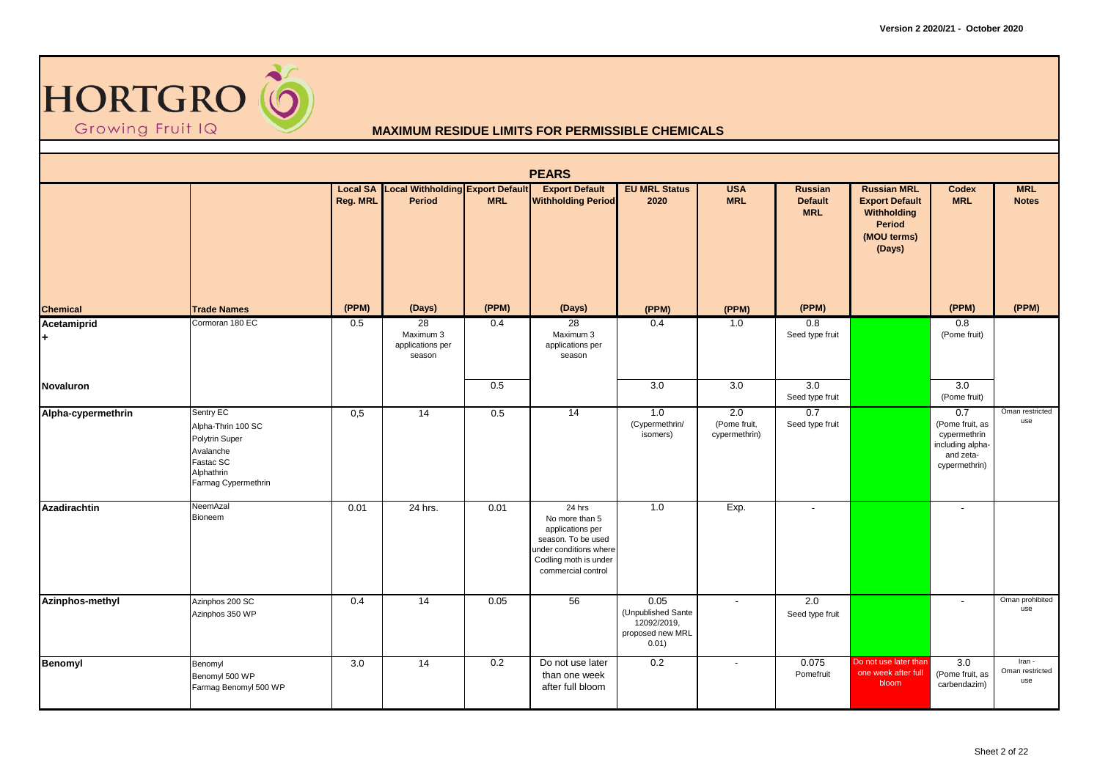

|                     |                                                                                                                  |          |                                                            |            | <b>PEARS</b>                                                                                                                                |                                                                        |                                      |                                         |                                                                                                      |                                                                                          |                                  |
|---------------------|------------------------------------------------------------------------------------------------------------------|----------|------------------------------------------------------------|------------|---------------------------------------------------------------------------------------------------------------------------------------------|------------------------------------------------------------------------|--------------------------------------|-----------------------------------------|------------------------------------------------------------------------------------------------------|------------------------------------------------------------------------------------------|----------------------------------|
|                     |                                                                                                                  | Reg. MRL | <b>Local SA Local Withholding Export Default</b><br>Period | <b>MRL</b> | <b>Export Default</b><br><b>Withholding Period</b>                                                                                          | <b>EU MRL Status</b><br>2020                                           | <b>USA</b><br><b>MRL</b>             | Russian<br><b>Default</b><br><b>MRL</b> | <b>Russian MRL</b><br><b>Export Default</b><br>Withholding<br><b>Period</b><br>(MOU terms)<br>(Days) | <b>Codex</b><br><b>MRL</b>                                                               | <b>MRL</b><br><b>Notes</b>       |
| <b>Chemical</b>     | <b>Trade Names</b>                                                                                               | (PPM)    | (Days)                                                     | (PPM)      | (Days)                                                                                                                                      | (PPM)                                                                  | (PPM)                                | (PPM)                                   |                                                                                                      | (PPM)                                                                                    | (PPM)                            |
| Acetamiprid<br>l+   | Cormoran 180 EC                                                                                                  | 0.5      | 28<br>Maximum 3<br>applications per<br>season              | 0.4        | 28<br>Maximum 3<br>applications per<br>season                                                                                               | 0.4                                                                    | 1.0                                  | 0.8<br>Seed type fruit                  |                                                                                                      | 0.8<br>(Pome fruit)                                                                      |                                  |
| <b>Novaluron</b>    |                                                                                                                  |          |                                                            | 0.5        |                                                                                                                                             | 3.0                                                                    | 3.0                                  | 3.0<br>Seed type fruit                  |                                                                                                      | 3.0<br>(Pome fruit)                                                                      |                                  |
| Alpha-cypermethrin  | Sentry EC<br>Alpha-Thrin 100 SC<br>Polytrin Super<br>Avalanche<br>Fastac SC<br>Alphathrin<br>Farmag Cypermethrin | 0,5      | 14                                                         | 0.5        | 14                                                                                                                                          | 1.0<br>(Cypermethrin/<br>isomers)                                      | 2.0<br>(Pome fruit,<br>cypermethrin) | 0.7<br>Seed type fruit                  |                                                                                                      | 0.7<br>(Pome fruit, as<br>cypermethrin<br>including alpha-<br>and zeta-<br>cypermethrin) | Oman restricted<br>use           |
| <b>Azadirachtin</b> | NeemAzal<br>Bioneem                                                                                              | 0.01     | 24 hrs.                                                    | 0.01       | 24 hrs<br>No more than 5<br>applications per<br>season. To be used<br>under conditions where<br>Codling moth is under<br>commercial control | 1.0                                                                    | Exp.                                 | $\blacksquare$                          |                                                                                                      | $\tilde{\phantom{a}}$                                                                    |                                  |
| Azinphos-methyl     | Azinphos 200 SC<br>Azinphos 350 WP                                                                               | 0.4      | 14                                                         | 0.05       | 56                                                                                                                                          | 0.05<br>(Unpublished Sante<br>12092/2019,<br>proposed new MRL<br>0.01) | $\blacksquare$                       | 2.0<br>Seed type fruit                  |                                                                                                      | ٠                                                                                        | Oman prohibited<br>use           |
| Benomyl             | Benomyl<br>Benomyl 500 WP<br>Farmag Benomyl 500 WP                                                               | 3.0      | 14                                                         | 0.2        | Do not use later<br>than one week<br>after full bloom                                                                                       | 0.2                                                                    |                                      | 0.075<br>Pomefruit                      | Do not use later than<br>one week after full<br>bloom                                                | 3.0<br>(Pome fruit, as<br>carbendazim)                                                   | Iran -<br>Oman restricted<br>use |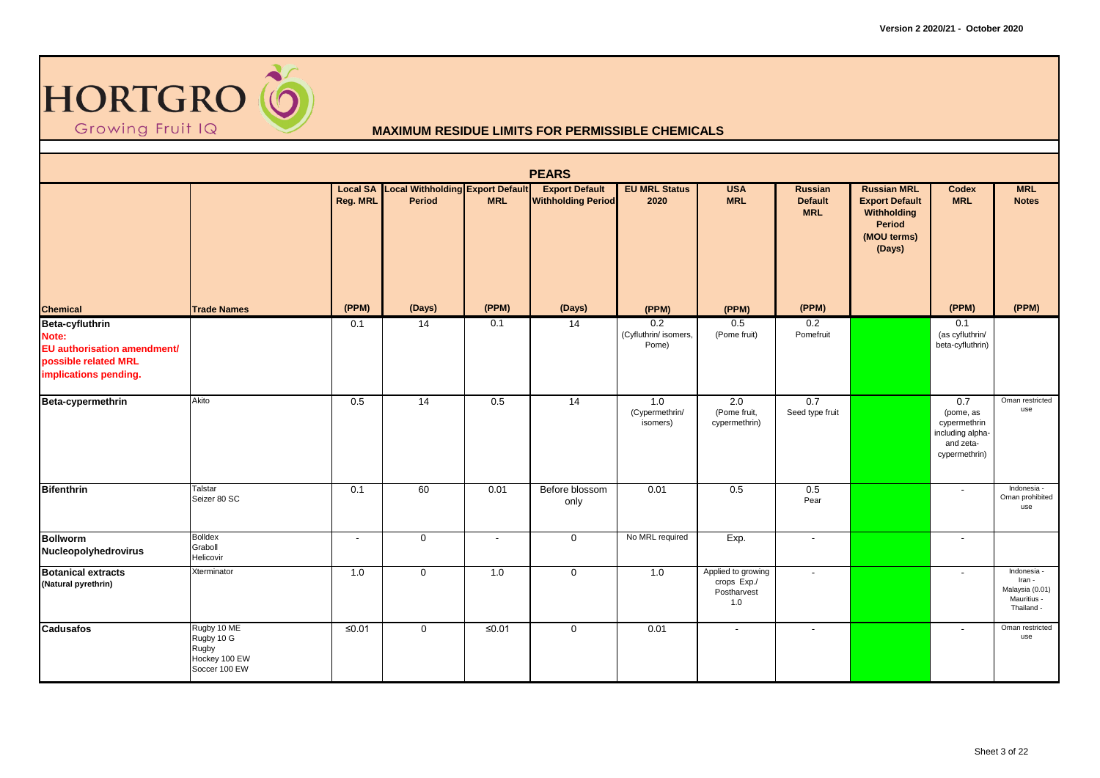

|                                                                                                          |                                                                      |                 |                                                            |            | <b>PEARS</b>                                       |                                       |                                                         |                                         |                                                                                               |                                                                                    |                                                                     |
|----------------------------------------------------------------------------------------------------------|----------------------------------------------------------------------|-----------------|------------------------------------------------------------|------------|----------------------------------------------------|---------------------------------------|---------------------------------------------------------|-----------------------------------------|-----------------------------------------------------------------------------------------------|------------------------------------------------------------------------------------|---------------------------------------------------------------------|
|                                                                                                          |                                                                      | <b>Reg. MRL</b> | <b>Local SA</b> Local Withholding Export Default<br>Period | <b>MRL</b> | <b>Export Default</b><br><b>Withholding Period</b> | <b>EU MRL Status</b><br>2020          | <b>USA</b><br><b>MRL</b>                                | Russian<br><b>Default</b><br><b>MRL</b> | <b>Russian MRL</b><br><b>Export Default</b><br>Withholding<br>Period<br>(MOU terms)<br>(Days) | Codex<br><b>MRL</b>                                                                | <b>MRL</b><br><b>Notes</b>                                          |
| <b>Chemical</b>                                                                                          | <b>Trade Names</b>                                                   | (PPM)           | (Days)                                                     | (PPM)      | (Days)                                             | (PPM)                                 | (PPM)                                                   | (PPM)                                   |                                                                                               | (PPM)                                                                              | (PPM)                                                               |
| Beta-cyfluthrin<br>Note:<br>EU authorisation amendment/<br>possible related MRL<br>implications pending. |                                                                      | 0.1             | $\overline{14}$                                            | 0.1        | $\overline{14}$                                    | 0.2<br>(Cyfluthrin/ isomers,<br>Pome) | 0.5<br>(Pome fruit)                                     | 0.2<br>Pomefruit                        |                                                                                               | 0.1<br>(as cyfluthrin/<br>beta-cyfluthrin)                                         |                                                                     |
| Beta-cypermethrin                                                                                        | Akito                                                                | 0.5             | 14                                                         | 0.5        | $\overline{14}$                                    | 1.0<br>(Cypermethrin/<br>isomers)     | 2.0<br>(Pome fruit,<br>cypermethrin)                    | 0.7<br>Seed type fruit                  |                                                                                               | 0.7<br>(pome, as<br>cypermethrin<br>including alpha-<br>and zeta-<br>cypermethrin) | Oman restricted<br>use                                              |
| <b>Bifenthrin</b>                                                                                        | Talstar<br>Seizer 80 SC                                              | 0.1             | 60                                                         | 0.01       | Before blossom<br>only                             | 0.01                                  | 0.5                                                     | 0.5<br>Pear                             |                                                                                               | $\blacksquare$                                                                     | Indonesia -<br>Oman prohibited<br>use                               |
| <b>Bollworm</b><br>Nucleopolyhedrovirus                                                                  | <b>Bolldex</b><br>Graboll<br>Helicovir                               | $\blacksquare$  | $\mathbf 0$                                                |            | $\mathbf 0$                                        | No MRL required                       | Exp.                                                    | $\blacksquare$                          |                                                                                               | $\blacksquare$                                                                     |                                                                     |
| <b>Botanical extracts</b><br>(Natural pyrethrin)                                                         | Xterminator                                                          | 1.0             | $\mathbf 0$                                                | 1.0        | $\mathbf 0$                                        | 1.0                                   | Applied to growing<br>crops Exp./<br>Postharvest<br>1.0 | $\overline{\phantom{a}}$                |                                                                                               | $\overline{\phantom{a}}$                                                           | Indonesia<br>Iran -<br>Malaysia (0.01)<br>Mauritius -<br>Thailand - |
| <b>Cadusafos</b>                                                                                         | Rugby 10 ME<br>Rugby 10 G<br>Rugby<br>Hockey 100 EW<br>Soccer 100 EW | $≤0.01$         | $\mathbf 0$                                                | $≤0.01$    | $\mathbf 0$                                        | 0.01                                  | $\blacksquare$                                          | $\overline{\phantom{a}}$                |                                                                                               | $\overline{\phantom{a}}$                                                           | Oman restricted<br>use                                              |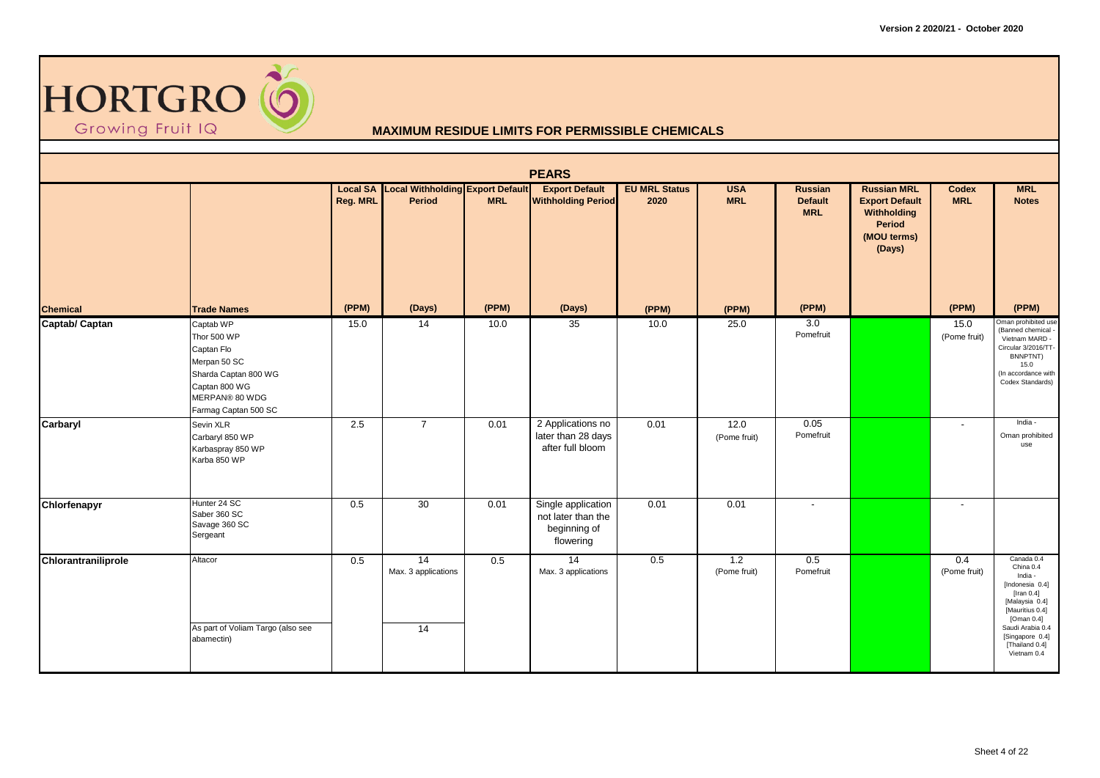

|                     |                                                                                                                                           |          |                                                            |            | <b>PEARS</b>                                                          |                              |                          |                                                |                                                                                               |                            |                                                                                                                                                                                                   |
|---------------------|-------------------------------------------------------------------------------------------------------------------------------------------|----------|------------------------------------------------------------|------------|-----------------------------------------------------------------------|------------------------------|--------------------------|------------------------------------------------|-----------------------------------------------------------------------------------------------|----------------------------|---------------------------------------------------------------------------------------------------------------------------------------------------------------------------------------------------|
|                     |                                                                                                                                           | Reg. MRL | <b>Local SA Local Withholding Export Default</b><br>Period | <b>MRL</b> | <b>Export Default</b><br><b>Withholding Period</b>                    | <b>EU MRL Status</b><br>2020 | <b>USA</b><br><b>MRL</b> | <b>Russian</b><br><b>Default</b><br><b>MRL</b> | <b>Russian MRL</b><br><b>Export Default</b><br>Withholding<br>Period<br>(MOU terms)<br>(Days) | <b>Codex</b><br><b>MRL</b> | <b>MRL</b><br><b>Notes</b>                                                                                                                                                                        |
| <b>Chemical</b>     | <b>Trade Names</b>                                                                                                                        | (PPM)    | (Days)                                                     | (PPM)      | (Days)                                                                | (PPM)                        | (PPM)                    | (PPM)                                          |                                                                                               | (PPM)                      | (PPM)                                                                                                                                                                                             |
| Captab/ Captan      | Captab WP<br>Thor 500 WP<br>Captan Flo<br>Merpan 50 SC<br>Sharda Captan 800 WG<br>Captan 800 WG<br>MERPAN® 80 WDG<br>Farmag Captan 500 SC | 15.0     | 14                                                         | 10.0       | 35                                                                    | 10.0                         | 25.0                     | 3.0<br>Pomefruit                               |                                                                                               | 15.0<br>(Pome fruit)       | Oman prohibited use<br>(Banned chemical<br>Vietnam MARD -<br>Circular 3/2016/TT-<br>BNNPTNT)<br>15.0<br>(In accordance with<br>Codex Standards)                                                   |
| Carbaryl            | Sevin XLR<br>Carbaryl 850 WP<br>Karbaspray 850 WP<br>Karba 850 WP                                                                         | 2.5      | $\overline{7}$                                             | 0.01       | 2 Applications no<br>later than 28 days<br>after full bloom           | 0.01                         | 12.0<br>(Pome fruit)     | 0.05<br>Pomefruit                              |                                                                                               | $\overline{\phantom{a}}$   | India -<br>Oman prohibited<br>use                                                                                                                                                                 |
| Chlorfenapyr        | Hunter 24 SC<br>Saber 360 SC<br>Savage 360 SC<br>Sergeant                                                                                 | 0.5      | 30                                                         | 0.01       | Single application<br>not later than the<br>beginning of<br>flowering | 0.01                         | 0.01                     | $\overline{\phantom{a}}$                       |                                                                                               | $\overline{\phantom{a}}$   |                                                                                                                                                                                                   |
| Chlorantraniliprole | Altacor<br>As part of Voliam Targo (also see<br>abamectin)                                                                                | 0.5      | $\overline{14}$<br>Max. 3 applications<br>14               | 0.5        | $\overline{14}$<br>Max. 3 applications                                | 0.5                          | 1.2<br>(Pome fruit)      | $\overline{0.5}$<br>Pomefruit                  |                                                                                               | 0.4<br>(Pome fruit)        | Canada 0.4<br>China 0.4<br>India -<br>[Indonesia 0.4]<br>[Iran $0.4$ ]<br>[Malaysia 0.4]<br>[Mauritius 0.4]<br>[Oman 0.4]<br>Saudi Arabia 0.4<br>[Singapore 0.4]<br>[Thailand 0.4]<br>Vietnam 0.4 |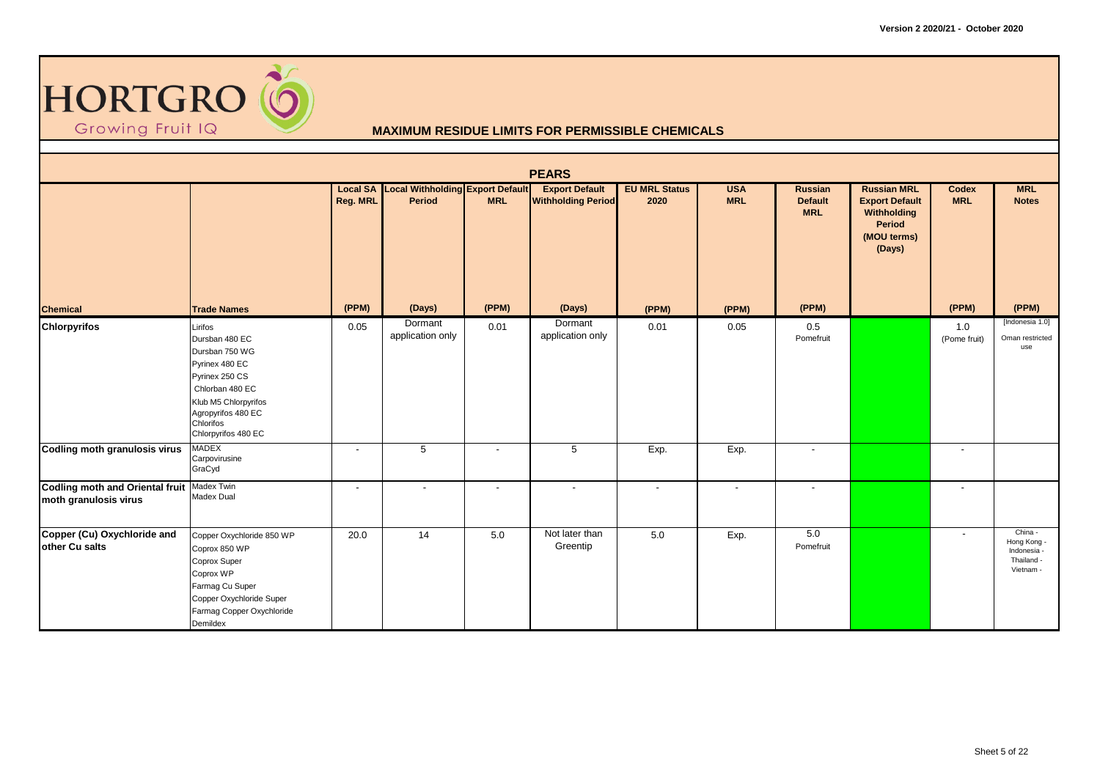

|                                                                       |                                                                                                                                                                                      |                          |                                                            |                          | <b>PEARS</b>                                       |                              |                          |                                         |                                                                                               |                            |                                                                  |
|-----------------------------------------------------------------------|--------------------------------------------------------------------------------------------------------------------------------------------------------------------------------------|--------------------------|------------------------------------------------------------|--------------------------|----------------------------------------------------|------------------------------|--------------------------|-----------------------------------------|-----------------------------------------------------------------------------------------------|----------------------------|------------------------------------------------------------------|
|                                                                       |                                                                                                                                                                                      | Reg. MRL                 | <b>Local SA Local Withholding Export Default</b><br>Period | <b>MRL</b>               | <b>Export Default</b><br><b>Withholding Period</b> | <b>EU MRL Status</b><br>2020 | <b>USA</b><br><b>MRL</b> | Russian<br><b>Default</b><br><b>MRL</b> | <b>Russian MRL</b><br><b>Export Default</b><br>Withholding<br>Period<br>(MOU terms)<br>(Days) | <b>Codex</b><br><b>MRL</b> | <b>MRL</b><br><b>Notes</b>                                       |
| <b>Chemical</b>                                                       | <b>Trade Names</b>                                                                                                                                                                   | (PPM)                    | (Days)                                                     | (PPM)                    | (Days)                                             | (PPM)                        | (PPM)                    | (PPM)                                   |                                                                                               | (PPM)                      | (PPM)                                                            |
| <b>Chlorpyrifos</b>                                                   | Lirifos<br>Dursban 480 EC<br>Dursban 750 WG<br>Pyrinex 480 EC<br>Pyrinex 250 CS<br>Chlorban 480 EC<br>Klub M5 Chlorpyrifos<br>Agropyrifos 480 EC<br>Chlorifos<br>Chlorpyrifos 480 EC | 0.05                     | Dormant<br>application only                                | 0.01                     | Dormant<br>application only                        | 0.01                         | 0.05                     | 0.5<br>Pomefruit                        |                                                                                               | 1.0<br>(Pome fruit)        | [Indonesia 1.0]<br>Oman restricted<br>use                        |
| <b>Codling moth granulosis virus</b>                                  | <b>MADEX</b><br>Carpovirusine<br>GraCyd                                                                                                                                              | $\overline{\phantom{a}}$ | 5                                                          | $\overline{\phantom{a}}$ | 5                                                  | Exp.                         | Exp.                     | $\overline{\phantom{a}}$                |                                                                                               |                            |                                                                  |
| Codling moth and Oriental fruit   Madex Twin<br>moth granulosis virus | Madex Dual                                                                                                                                                                           |                          | $\blacksquare$                                             | $\overline{\phantom{a}}$ | $\overline{\phantom{a}}$                           | $\overline{\phantom{a}}$     |                          | $\overline{\phantom{a}}$                |                                                                                               | $\overline{\phantom{a}}$   |                                                                  |
| Copper (Cu) Oxychloride and<br>other Cu salts                         | Copper Oxychloride 850 WP<br>Coprox 850 WP<br>Coprox Super<br>Coprox WP<br>Farmag Cu Super<br>Copper Oxychloride Super<br>Farmag Copper Oxychloride<br>Demildex                      | 20.0                     | 14                                                         | 5.0                      | Not later than<br>Greentip                         | 5.0                          | Exp.                     | 5.0<br>Pomefruit                        |                                                                                               | $\blacksquare$             | China -<br>Hong Kong -<br>Indonesia -<br>Thailand -<br>Vietnam - |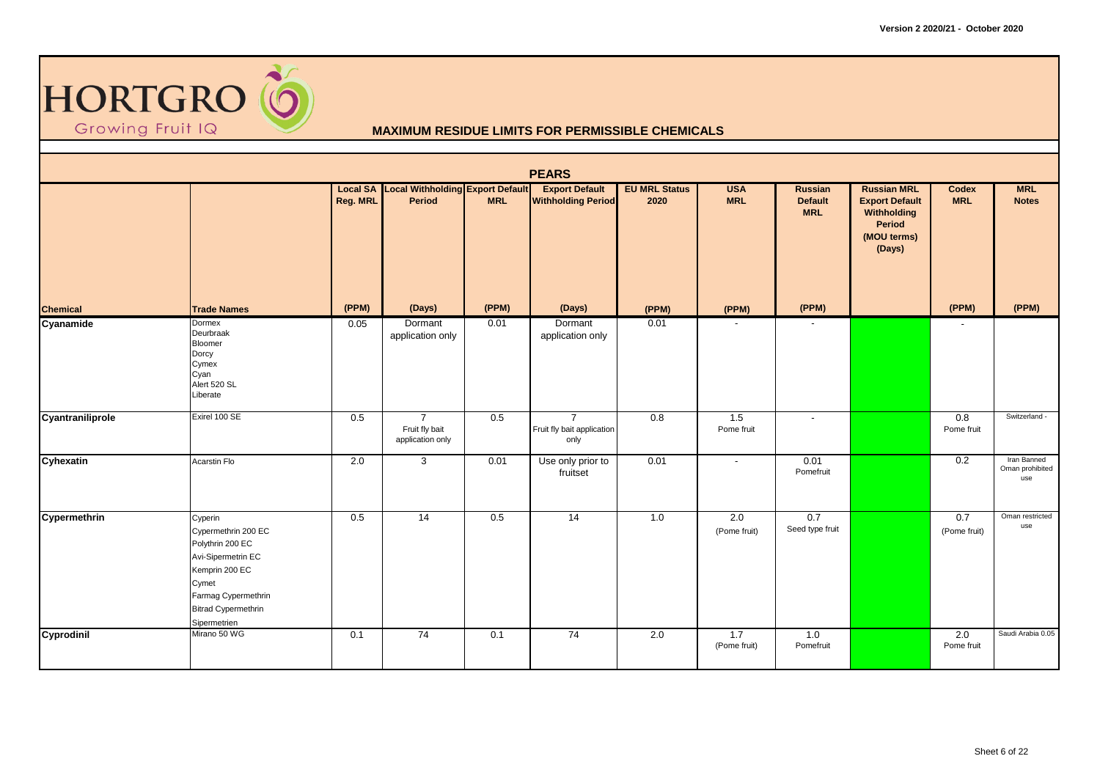

|                  |                                                                                                                                                                          |          |                                                            |            | <b>PEARS</b>                                         |                              |                          |                                         |                                                                                               |                            |                                       |
|------------------|--------------------------------------------------------------------------------------------------------------------------------------------------------------------------|----------|------------------------------------------------------------|------------|------------------------------------------------------|------------------------------|--------------------------|-----------------------------------------|-----------------------------------------------------------------------------------------------|----------------------------|---------------------------------------|
|                  |                                                                                                                                                                          | Reg. MRL | <b>Local SA</b> Local Withholding Export Default<br>Period | <b>MRL</b> | <b>Export Default</b><br><b>Withholding Period</b>   | <b>EU MRL Status</b><br>2020 | <b>USA</b><br><b>MRL</b> | Russian<br><b>Default</b><br><b>MRL</b> | <b>Russian MRL</b><br><b>Export Default</b><br>Withholding<br>Period<br>(MOU terms)<br>(Days) | <b>Codex</b><br><b>MRL</b> | <b>MRL</b><br><b>Notes</b>            |
| <b>Chemical</b>  | <b>Trade Names</b>                                                                                                                                                       | (PPM)    | (Days)                                                     | (PPM)      | (Days)                                               | (PPM)                        | (PPM)                    | (PPM)                                   |                                                                                               | (PPM)                      | (PPM)                                 |
| Cyanamide        | Dormex<br>Deurbraak<br>Bloomer<br>Dorcy<br>Cymex<br>Cyan<br>Alert 520 SL<br>Liberate                                                                                     | 0.05     | Dormant<br>application only                                | 0.01       | Dormant<br>application only                          | 0.01                         |                          | $\overline{\phantom{a}}$                |                                                                                               |                            |                                       |
| Cyantraniliprole | Exirel 100 SE                                                                                                                                                            | 0.5      | $\overline{7}$<br>Fruit fly bait<br>application only       | 0.5        | $\overline{7}$<br>Fruit fly bait application<br>only | 0.8                          | 1.5<br>Pome fruit        | $\overline{\phantom{a}}$                |                                                                                               | 0.8<br>Pome fruit          | Switzerland -                         |
| Cyhexatin        | Acarstin Flo                                                                                                                                                             | 2.0      | $\mathbf{3}$                                               | 0.01       | Use only prior to<br>fruitset                        | 0.01                         | $\overline{\phantom{a}}$ | 0.01<br>Pomefruit                       |                                                                                               | 0.2                        | Iran Banned<br>Oman prohibited<br>use |
| Cypermethrin     | Cyperin<br>Cypermethrin 200 EC<br>Polythrin 200 EC<br>Avi-Sipermetrin EC<br>Kemprin 200 EC<br>Cymet<br>Farmag Cypermethrin<br><b>Bitrad Cypermethrin</b><br>Sipermetrien | 0.5      | $\overline{14}$                                            | 0.5        | $\overline{14}$                                      | 1.0                          | 2.0<br>(Pome fruit)      | 0.7<br>Seed type fruit                  |                                                                                               | 0.7<br>(Pome fruit)        | Oman restricted<br>use                |
| Cyprodinil       | Mirano 50 WG                                                                                                                                                             | 0.1      | 74                                                         | 0.1        | 74                                                   | 2.0                          | 1.7<br>(Pome fruit)      | 1.0<br>Pomefruit                        |                                                                                               | 2.0<br>Pome fruit          | Saudi Arabia 0.05                     |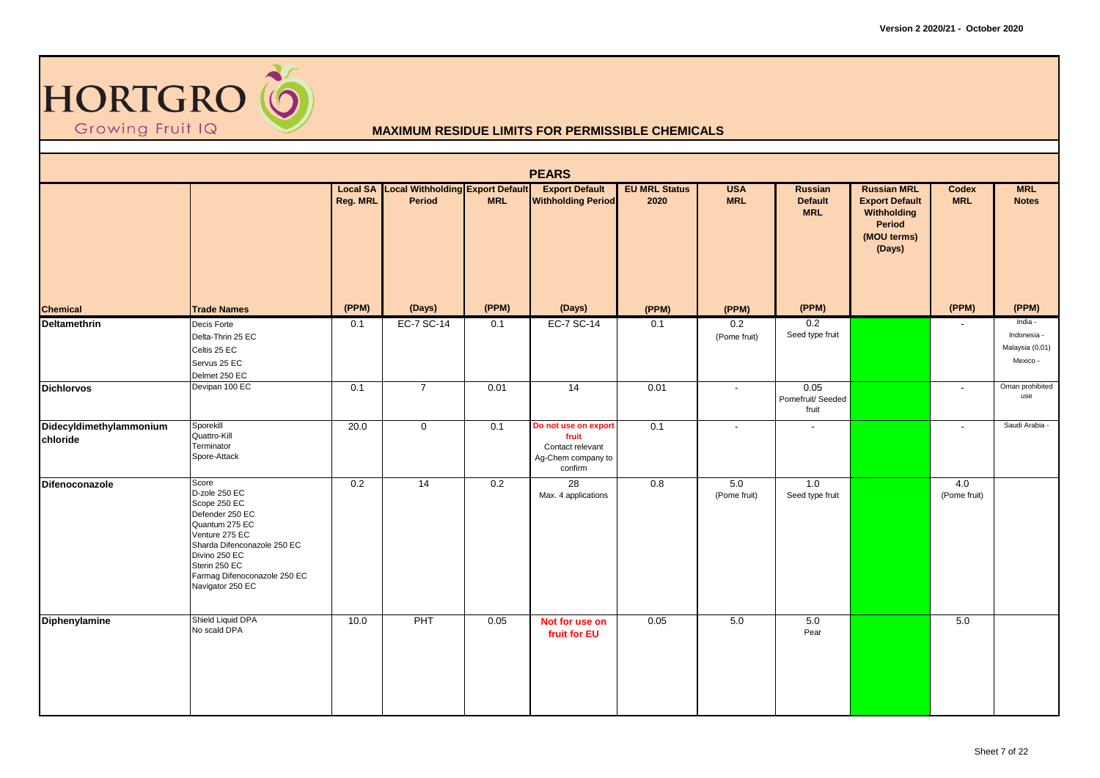

|                                     |                                                                                                                                                                                                                    |          |                                                            |            | <b>PEARS</b>                                                                       |                              |                          |                                         |                                                                                               |                     |                                                       |
|-------------------------------------|--------------------------------------------------------------------------------------------------------------------------------------------------------------------------------------------------------------------|----------|------------------------------------------------------------|------------|------------------------------------------------------------------------------------|------------------------------|--------------------------|-----------------------------------------|-----------------------------------------------------------------------------------------------|---------------------|-------------------------------------------------------|
|                                     |                                                                                                                                                                                                                    | Reg. MRL | <b>Local SA Local Withholding Export Default</b><br>Period | <b>MRL</b> | <b>Export Default</b><br><b>Withholding Period</b>                                 | <b>EU MRL Status</b><br>2020 | <b>USA</b><br><b>MRL</b> | Russian<br><b>Default</b><br><b>MRL</b> | <b>Russian MRL</b><br><b>Export Default</b><br>Withholding<br>Period<br>(MOU terms)<br>(Days) | Codex<br><b>MRL</b> | <b>MRL</b><br><b>Notes</b>                            |
| <b>Chemical</b>                     | <b>Trade Names</b>                                                                                                                                                                                                 | (PPM)    | (Days)                                                     | (PPM)      | (Days)                                                                             | (PPM)                        | (PPM)                    | (PPM)                                   |                                                                                               | (PPM)               | (PPM)                                                 |
| <b>Deltamethrin</b>                 | Decis Forte<br>Delta-Thrin 25 EC<br>Celtis 25 EC<br>Servus 25 EC<br>Delmet 250 EC                                                                                                                                  | 0.1      | EC-7 SC-14                                                 | 0.1        | EC-7 SC-14                                                                         | 0.1                          | 0.2<br>(Pome fruit)      | 0.2<br>Seed type fruit                  |                                                                                               | $\blacksquare$      | India -<br>Indonesia -<br>Malaysia (0.01)<br>Mexico - |
| <b>Dichlorvos</b>                   | Devipan 100 EC                                                                                                                                                                                                     | 0.1      | $\overline{7}$                                             | 0.01       | $\overline{14}$                                                                    | 0.01                         | $\blacksquare$           | 0.05<br>Pomefruit/Seeded<br>fruit       |                                                                                               | $\blacksquare$      | Oman prohibited<br>use                                |
| Didecyldimethylammonium<br>chloride | Sporekill<br>Quattro-Kill<br>Terminator<br>Spore-Attack                                                                                                                                                            | 20.0     | $\mathbf 0$                                                | 0.1        | Do not use on export<br>fruit<br>Contact relevant<br>Ag-Chem company to<br>confirm | 0.1                          | $\overline{\phantom{a}}$ | $\blacksquare$                          |                                                                                               | $\blacksquare$      | Saudi Arabia -                                        |
| Difenoconazole                      | Score<br>D-zole 250 EC<br>Scope 250 EC<br>Defender 250 EC<br>Quantum 275 EC<br>Venture 275 EC<br>Sharda Difenconazole 250 EC<br>Divino 250 EC<br>Sterin 250 EC<br>Farmag Difenoconazole 250 EC<br>Navigator 250 EC | 0.2      | 14                                                         | 0.2        | 28<br>Max. 4 applications                                                          | 0.8                          | 5.0<br>(Pome fruit)      | 1.0<br>Seed type fruit                  |                                                                                               | 4.0<br>(Pome fruit) |                                                       |
| Diphenylamine                       | Shield Liquid DPA<br>No scald DPA                                                                                                                                                                                  | 10.0     | PHT                                                        | 0.05       | Not for use on<br>fruit for EU                                                     | 0.05                         | 5.0                      | 5.0<br>Pear                             |                                                                                               | 5.0                 |                                                       |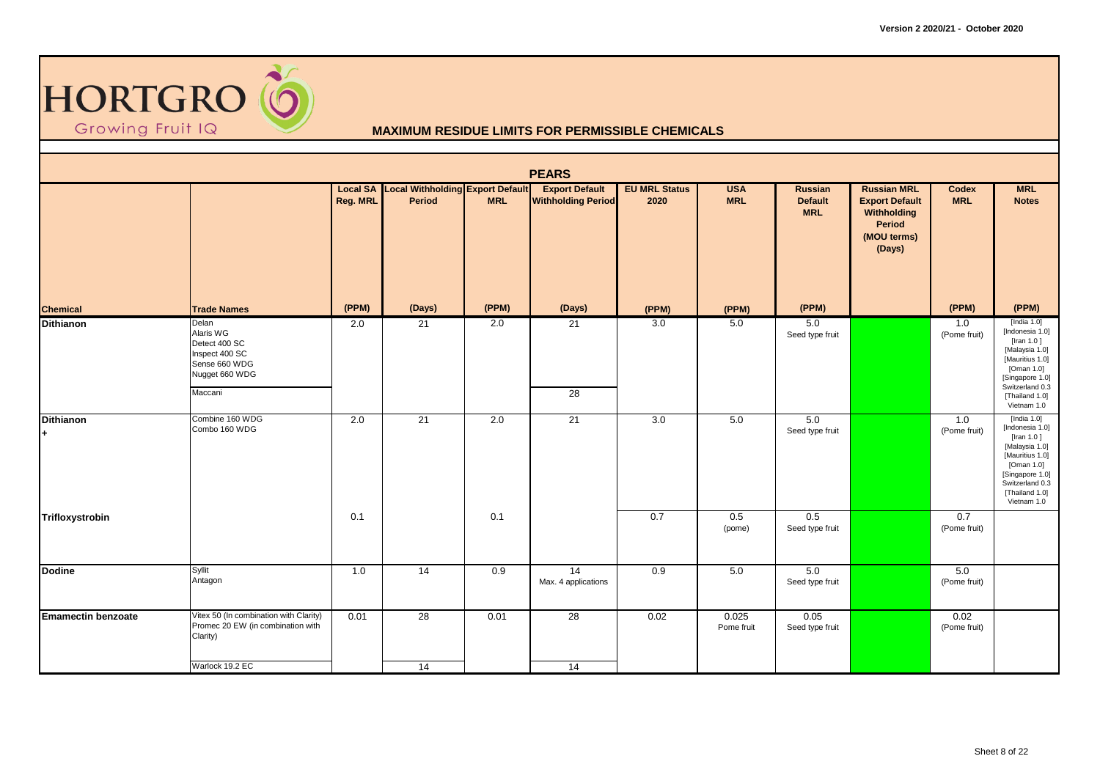

|                           |                                                                                                     |          |                                                            |                  | <b>PEARS</b>                                       |                              |                          |                                         |                                                                                               |                      |                                                                                                                                                                              |
|---------------------------|-----------------------------------------------------------------------------------------------------|----------|------------------------------------------------------------|------------------|----------------------------------------------------|------------------------------|--------------------------|-----------------------------------------|-----------------------------------------------------------------------------------------------|----------------------|------------------------------------------------------------------------------------------------------------------------------------------------------------------------------|
|                           |                                                                                                     | Reg. MRL | <b>Local SA Local Withholding Export Default</b><br>Period | <b>MRL</b>       | <b>Export Default</b><br><b>Withholding Period</b> | <b>EU MRL Status</b><br>2020 | <b>USA</b><br><b>MRL</b> | Russian<br><b>Default</b><br><b>MRL</b> | <b>Russian MRL</b><br><b>Export Default</b><br>Withholding<br>Period<br>(MOU terms)<br>(Days) | Codex<br><b>MRL</b>  | <b>MRL</b><br><b>Notes</b>                                                                                                                                                   |
| <b>Chemical</b>           | <b>Trade Names</b>                                                                                  | (PPM)    | (Days)                                                     | (PPM)            | (Days)                                             | (PPM)                        | (PPM)                    | (PPM)                                   |                                                                                               | (PPM)                | (PPM)                                                                                                                                                                        |
| <b>Dithianon</b>          | Delan<br>Alaris WG<br>Detect 400 SC<br>Inspect 400 SC<br>Sense 660 WDG<br>Nugget 660 WDG<br>Maccani | 2.0      | 21                                                         | 2.0              | 21<br>28                                           | 3.0                          | 5.0                      | 5.0<br>Seed type fruit                  |                                                                                               | 1.0<br>(Pome fruit)  | [India $1.0$ ]<br>[Indonesia 1.0]<br>[Iran $1.0$ ]<br>[Malaysia 1.0]<br>[Mauritius 1.0]<br>[Oman 1.0]<br>[Singapore 1.0]<br>Switzerland 0.3<br>[Thailand 1.0]<br>Vietnam 1.0 |
| <b>Dithianon</b><br>$+$   | Combine 160 WDG<br>Combo 160 WDG                                                                    | 2.0      | 21                                                         | $\overline{2.0}$ | 21                                                 | $\overline{3.0}$             | 5.0                      | 5.0<br>Seed type fruit                  |                                                                                               | 1.0<br>(Pome fruit)  | [India $1.0$ ]<br>[Indonesia 1.0]<br>[Iran $1.0$ ]<br>[Malaysia 1.0]<br>[Mauritius 1.0]<br>[Oman 1.0]<br>[Singapore 1.0]<br>Switzerland 0.3<br>[Thailand 1.0]<br>Vietnam 1.0 |
| Trifloxystrobin           |                                                                                                     | 0.1      |                                                            | 0.1              |                                                    | 0.7                          | 0.5<br>(pome)            | 0.5<br>Seed type fruit                  |                                                                                               | 0.7<br>(Pome fruit)  |                                                                                                                                                                              |
| <b>Dodine</b>             | Syllit<br>Antagon                                                                                   | 1.0      | 14                                                         | 0.9              | $\overline{14}$<br>Max. 4 applications             | 0.9                          | 5.0                      | 5.0<br>Seed type fruit                  |                                                                                               | 5.0<br>(Pome fruit)  |                                                                                                                                                                              |
| <b>Emamectin benzoate</b> | Vitex 50 (In combination with Clarity)<br>Promec 20 EW (in combination with<br>Clarity)             | 0.01     | 28                                                         | 0.01             | $\overline{28}$                                    | 0.02                         | 0.025<br>Pome fruit      | 0.05<br>Seed type fruit                 |                                                                                               | 0.02<br>(Pome fruit) |                                                                                                                                                                              |
|                           | Warlock 19.2 EC                                                                                     |          | 14                                                         |                  | 14                                                 |                              |                          |                                         |                                                                                               |                      |                                                                                                                                                                              |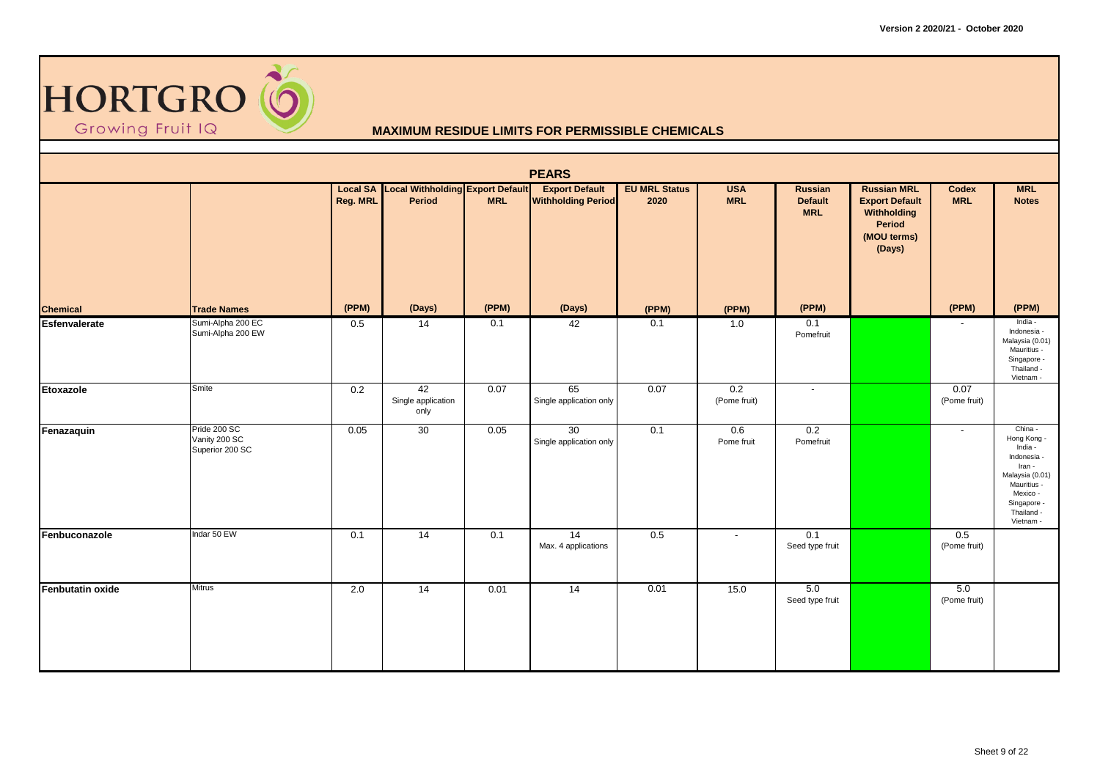

|                  |                                                  |          |                                                            |            | <b>PEARS</b>                                       |                              |                          |                                         |                                                                                               |                          |                                                                                                                                                    |
|------------------|--------------------------------------------------|----------|------------------------------------------------------------|------------|----------------------------------------------------|------------------------------|--------------------------|-----------------------------------------|-----------------------------------------------------------------------------------------------|--------------------------|----------------------------------------------------------------------------------------------------------------------------------------------------|
|                  |                                                  | Reg. MRL | <b>Local SA Local Withholding Export Default</b><br>Period | <b>MRL</b> | <b>Export Default</b><br><b>Withholding Period</b> | <b>EU MRL Status</b><br>2020 | <b>USA</b><br><b>MRL</b> | Russian<br><b>Default</b><br><b>MRL</b> | <b>Russian MRL</b><br><b>Export Default</b><br>Withholding<br>Period<br>(MOU terms)<br>(Days) | Codex<br><b>MRL</b>      | <b>MRL</b><br><b>Notes</b>                                                                                                                         |
| <b>Chemical</b>  | <b>Trade Names</b>                               | (PPM)    | (Days)                                                     | (PPM)      | (Days)                                             | (PPM)                        | (PPM)                    | (PPM)                                   |                                                                                               | (PPM)                    | (PPM)                                                                                                                                              |
| Esfenvalerate    | Sumi-Alpha 200 EC<br>Sumi-Alpha 200 EW           | 0.5      | 14                                                         | 0.1        | 42                                                 | 0.1                          | 1.0                      | 0.1<br>Pomefruit                        |                                                                                               | $\overline{\phantom{a}}$ | India -<br>Indonesia -<br>Malaysia (0.01)<br>Mauritius -<br>Singapore -<br>Thailand -<br>Vietnam -                                                 |
| Etoxazole        | Smite                                            | 0.2      | 42<br>Single application<br>only                           | 0.07       | 65<br>Single application only                      | 0.07                         | 0.2<br>(Pome fruit)      | $\overline{\phantom{a}}$                |                                                                                               | 0.07<br>(Pome fruit)     |                                                                                                                                                    |
| Fenazaquin       | Pride 200 SC<br>Vanity 200 SC<br>Superior 200 SC | 0.05     | 30                                                         | 0.05       | 30<br>Single application only                      | 0.1                          | 0.6<br>Pome fruit        | 0.2<br>Pomefruit                        |                                                                                               | $\overline{\phantom{a}}$ | China -<br>Hong Kong -<br>India -<br>Indonesia -<br>Iran -<br>Malaysia (0.01)<br>Mauritius -<br>Mexico -<br>Singapore -<br>Thailand -<br>Vietnam - |
| Fenbuconazole    | Indar 50 EW                                      | 0.1      | 14                                                         | 0.1        | 14<br>Max. 4 applications                          | 0.5                          | $\blacksquare$           | 0.1<br>Seed type fruit                  |                                                                                               | 0.5<br>(Pome fruit)      |                                                                                                                                                    |
| Fenbutatin oxide | <b>Mitrus</b>                                    | 2.0      | 14                                                         | 0.01       | 14                                                 | 0.01                         | 15.0                     | 5.0<br>Seed type fruit                  |                                                                                               | 5.0<br>(Pome fruit)      |                                                                                                                                                    |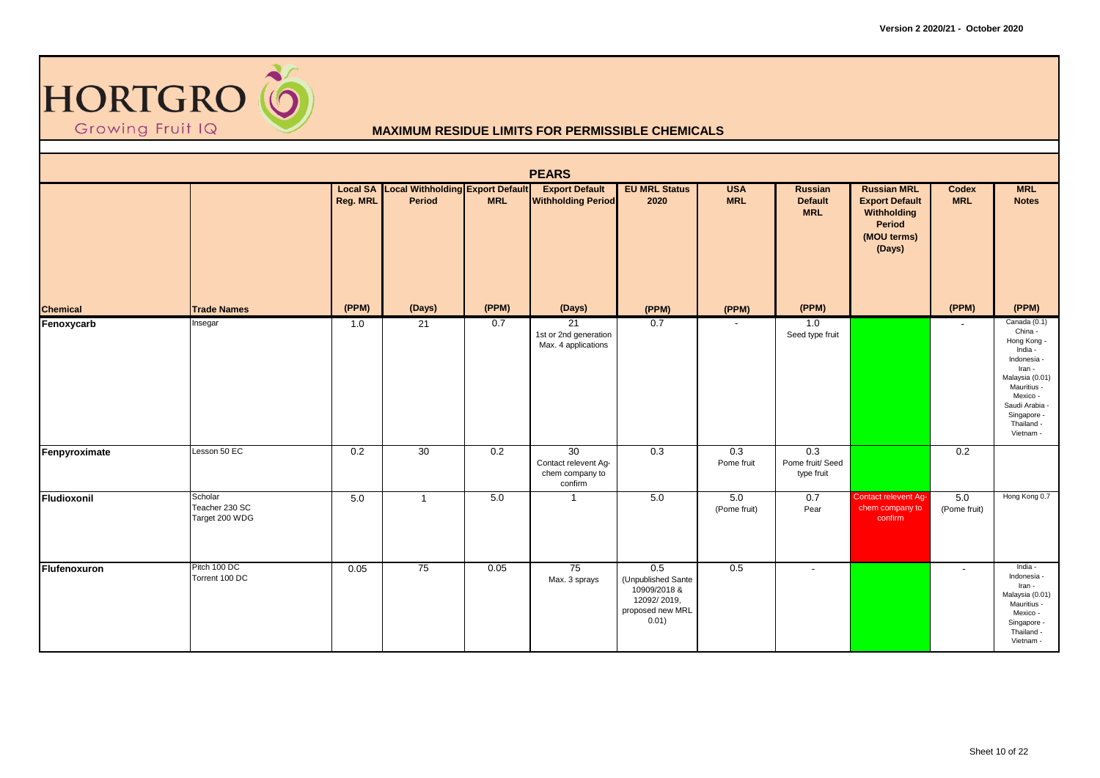

|                 |                                             |          |                                                            |            | <b>PEARS</b>                                                          |                                                                                           |                          |                                         |                                                                                               |                          |                                                                                                                                                                                    |
|-----------------|---------------------------------------------|----------|------------------------------------------------------------|------------|-----------------------------------------------------------------------|-------------------------------------------------------------------------------------------|--------------------------|-----------------------------------------|-----------------------------------------------------------------------------------------------|--------------------------|------------------------------------------------------------------------------------------------------------------------------------------------------------------------------------|
|                 |                                             | Reg. MRL | <b>Local SA Local Withholding Export Default</b><br>Period | <b>MRL</b> | <b>Export Default</b><br><b>Withholding Period</b>                    | <b>EU MRL Status</b><br>2020                                                              | <b>USA</b><br><b>MRL</b> | Russian<br><b>Default</b><br><b>MRL</b> | <b>Russian MRL</b><br><b>Export Default</b><br>Withholding<br>Period<br>(MOU terms)<br>(Days) | Codex<br><b>MRL</b>      | <b>MRL</b><br><b>Notes</b>                                                                                                                                                         |
| <b>Chemical</b> | <b>Trade Names</b>                          | (PPM)    | (Days)                                                     | (PPM)      | (Days)                                                                | (PPM)                                                                                     | (PPM)                    | (PPM)                                   |                                                                                               | (PPM)                    | (PPM)                                                                                                                                                                              |
| Fenoxycarb      | Insegar                                     | 1.0      | 21                                                         | 0.7        | 21<br>1st or 2nd generation<br>Max. 4 applications                    | 0.7                                                                                       |                          | 1.0<br>Seed type fruit                  |                                                                                               | $\overline{\phantom{a}}$ | Canada (0.1)<br>China -<br>Hong Kong -<br>India -<br>Indonesia -<br>Iran -<br>Malaysia (0.01)<br>Mauritius -<br>Mexico -<br>Saudi Arabia<br>Singapore -<br>Thailand -<br>Vietnam - |
| Fenpyroximate   | Lesson 50 EC                                | 0.2      | 30                                                         | 0.2        | $\overline{30}$<br>Contact relevent Ag-<br>chem company to<br>confirm | 0.3                                                                                       | 0.3<br>Pome fruit        | 0.3<br>Pome fruit/ Seed<br>type fruit   |                                                                                               | 0.2                      |                                                                                                                                                                                    |
| Fludioxonil     | Scholar<br>Teacher 230 SC<br>Target 200 WDG | 5.0      | $\overline{1}$                                             | 5.0        | $\mathbf{1}$                                                          | 5.0                                                                                       | 5.0<br>(Pome fruit)      | 0.7<br>Pear                             | <b>Contact relevent Ag-</b><br>chem company to<br>confirm                                     | 5.0<br>(Pome fruit)      | Hong Kong 0.7                                                                                                                                                                      |
| Flufenoxuron    | Pitch 100 DC<br>Torrent 100 DC              | 0.05     | 75                                                         | 0.05       | 75<br>Max. 3 sprays                                                   | $0.5\,$<br>(Unpublished Sante<br>10909/2018 &<br>12092/2019,<br>proposed new MRL<br>0.01) | 0.5                      | $\overline{\phantom{a}}$                |                                                                                               | $\overline{\phantom{a}}$ | India -<br>Indonesia -<br>Iran -<br>Malaysia (0.01)<br>Mauritius -<br>Mexico -<br>Singapore -<br>Thailand -<br>Vietnam -                                                           |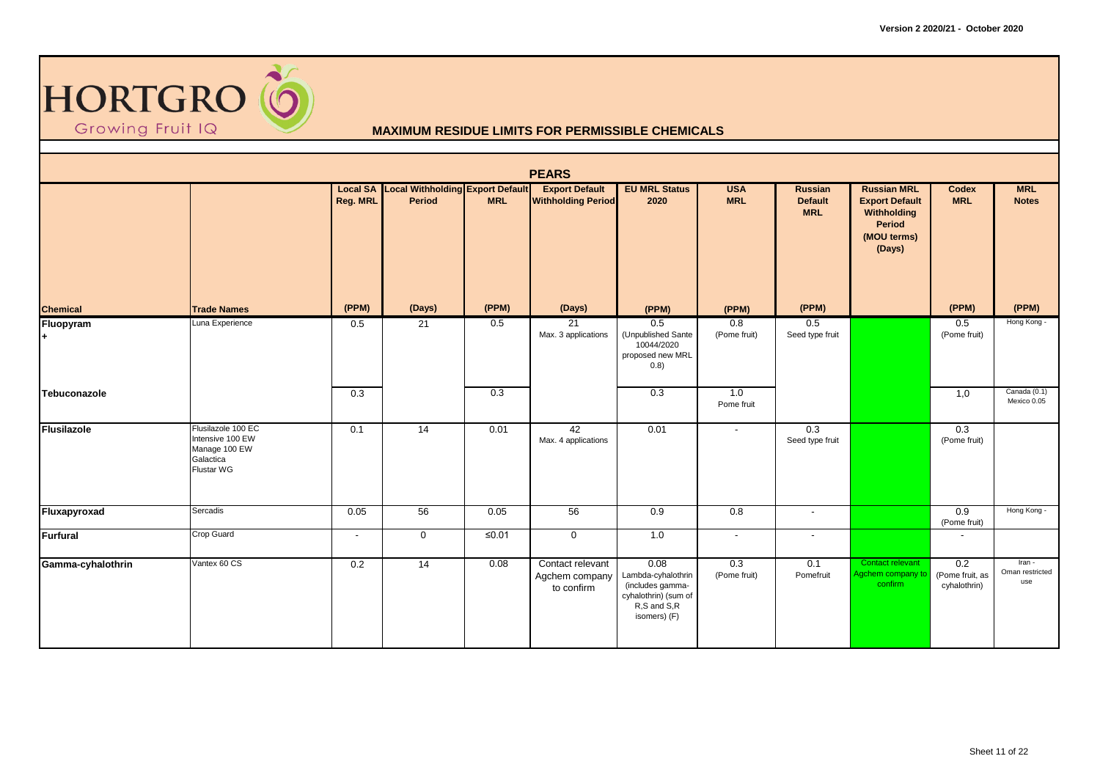

|                   |                                                                                           |          |                                                            |            | <b>PEARS</b>                                       |                                                                                                       |                          |                                         |                                                                                               |                                        |                                  |
|-------------------|-------------------------------------------------------------------------------------------|----------|------------------------------------------------------------|------------|----------------------------------------------------|-------------------------------------------------------------------------------------------------------|--------------------------|-----------------------------------------|-----------------------------------------------------------------------------------------------|----------------------------------------|----------------------------------|
|                   |                                                                                           | Reg. MRL | <b>Local SA Local Withholding Export Default</b><br>Period | <b>MRL</b> | <b>Export Default</b><br><b>Withholding Period</b> | <b>EU MRL Status</b><br>2020                                                                          | <b>USA</b><br><b>MRL</b> | Russian<br><b>Default</b><br><b>MRL</b> | <b>Russian MRL</b><br><b>Export Default</b><br>Withholding<br>Period<br>(MOU terms)<br>(Days) | Codex<br><b>MRL</b>                    | <b>MRL</b><br><b>Notes</b>       |
| <b>Chemical</b>   | <b>Trade Names</b>                                                                        | (PPM)    | (Days)                                                     | (PPM)      | (Days)                                             | (PPM)                                                                                                 | (PPM)                    | (PPM)                                   |                                                                                               | (PPM)                                  | (PPM)                            |
| Fluopyram<br>l+   | Luna Experience                                                                           | 0.5      | 21                                                         | 0.5        | 21<br>Max. 3 applications                          | 0.5<br>(Unpublished Sante<br>10044/2020<br>proposed new MRL<br>(0.8)                                  | 0.8<br>(Pome fruit)      | 0.5<br>Seed type fruit                  |                                                                                               | 0.5<br>(Pome fruit)                    | Hong Kong -                      |
| Tebuconazole      |                                                                                           | 0.3      |                                                            | 0.3        |                                                    | 0.3                                                                                                   | 1.0<br>Pome fruit        |                                         |                                                                                               | 1,0                                    | Canada (0.1)<br>Mexico 0.05      |
| Flusilazole       | Flusilazole 100 EC<br>Intensive 100 EW<br>Manage 100 EW<br>Galactica<br><b>Flustar WG</b> | 0.1      | 14                                                         | 0.01       | 42<br>Max. 4 applications                          | 0.01                                                                                                  | $\blacksquare$           | 0.3<br>Seed type fruit                  |                                                                                               | 0.3<br>(Pome fruit)                    |                                  |
| Fluxapyroxad      | Sercadis                                                                                  | 0.05     | 56                                                         | 0.05       | 56                                                 | 0.9                                                                                                   | 0.8                      | $\overline{\phantom{a}}$                |                                                                                               | 0.9<br>(Pome fruit)                    | Hong Kong -                      |
| Furfural          | Crop Guard                                                                                | $\sim$   | $\mathbf 0$                                                | $≤0.01$    | $\mathbf 0$                                        | 1.0                                                                                                   | $\sim$                   | $\sim$                                  |                                                                                               | $\overline{\phantom{a}}$               |                                  |
| Gamma-cyhalothrin | Vantex 60 CS                                                                              | 0.2      | 14                                                         | 0.08       | Contact relevant<br>Agchem company<br>to confirm   | 0.08<br>Lambda-cyhalothrin<br>(includes gamma-<br>cyhalothrin) (sum of<br>R,S and S,R<br>isomers) (F) | 0.3<br>(Pome fruit)      | 0.1<br>Pomefruit                        | Contact relevant<br>Agchem company to<br>confirm                                              | 0.2<br>(Pome fruit, as<br>cyhalothrin) | Iran -<br>Oman restricted<br>use |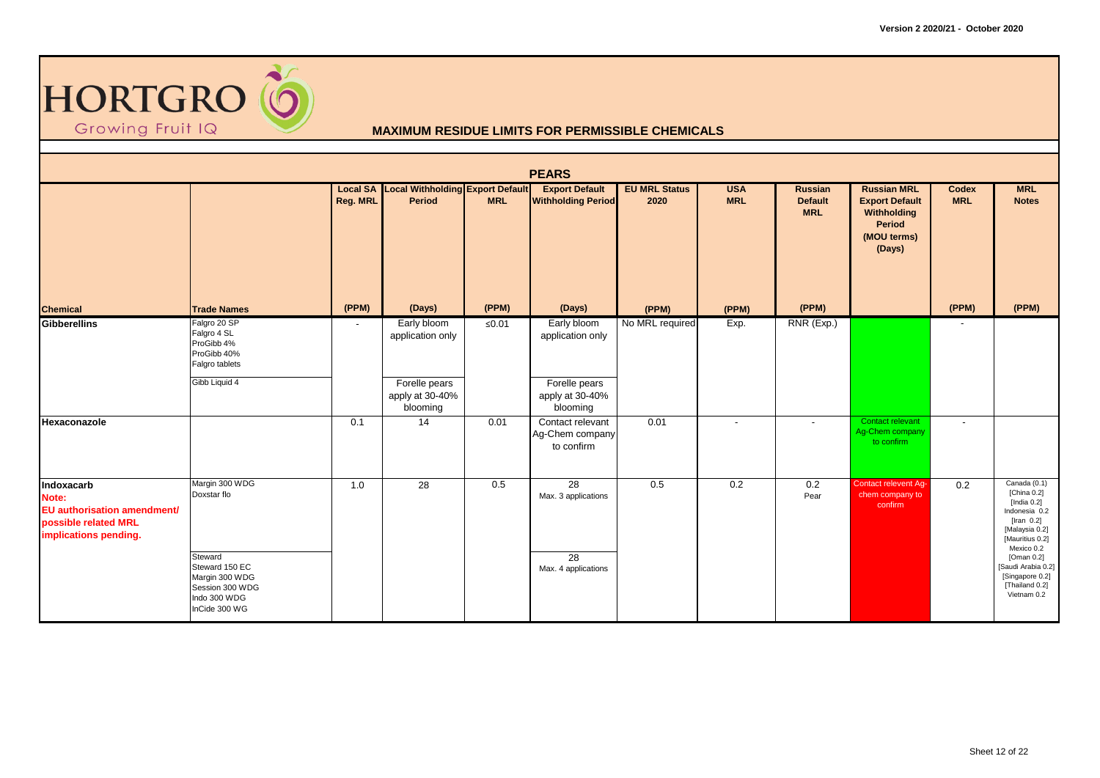

|                                                                                                            |                                                                                                 |          |                                                     |             | <b>PEARS</b>                                       |                              |                          |                                         |                                                                                               |                            |                                                                                                                                    |
|------------------------------------------------------------------------------------------------------------|-------------------------------------------------------------------------------------------------|----------|-----------------------------------------------------|-------------|----------------------------------------------------|------------------------------|--------------------------|-----------------------------------------|-----------------------------------------------------------------------------------------------|----------------------------|------------------------------------------------------------------------------------------------------------------------------------|
|                                                                                                            |                                                                                                 | Reg. MRL | Local SA Local Withholding Export Default<br>Period | <b>MRL</b>  | <b>Export Default</b><br><b>Withholding Period</b> | <b>EU MRL Status</b><br>2020 | <b>USA</b><br><b>MRL</b> | Russian<br><b>Default</b><br><b>MRL</b> | <b>Russian MRL</b><br><b>Export Default</b><br>Withholding<br>Period<br>(MOU terms)<br>(Days) | <b>Codex</b><br><b>MRL</b> | <b>MRL</b><br><b>Notes</b>                                                                                                         |
| <b>Chemical</b>                                                                                            | <b>Trade Names</b>                                                                              | (PPM)    | (Days)                                              | (PPM)       | (Days)                                             | (PPM)                        | (PPM)                    | (PPM)                                   |                                                                                               | (PPM)                      | (PPM)                                                                                                                              |
| <b>Gibberellins</b>                                                                                        | Falgro 20 SP<br>Falgro 4 SL<br>ProGibb 4%<br>ProGibb 40%<br>Falgro tablets                      | $\sim$   | Early bloom<br>application only                     | $\leq 0.01$ | Early bloom<br>application only                    | No MRL required              | Exp.                     | RNR (Exp.)                              |                                                                                               |                            |                                                                                                                                    |
|                                                                                                            | Gibb Liquid 4                                                                                   |          | Forelle pears<br>apply at 30-40%<br>blooming        |             | Forelle pears<br>apply at 30-40%<br>blooming       |                              |                          |                                         |                                                                                               |                            |                                                                                                                                    |
| Hexaconazole                                                                                               |                                                                                                 | 0.1      | 14                                                  | 0.01        | Contact relevant<br>Ag-Chem company<br>to confirm  | 0.01                         | $\overline{\phantom{a}}$ | $\overline{\phantom{a}}$                | Contact relevant<br>Ag-Chem company<br>to confirm                                             | $\blacksquare$             |                                                                                                                                    |
| Indoxacarb<br>Note:<br><b>EU</b> authorisation amendment/<br>possible related MRL<br>implications pending. | Margin 300 WDG<br>Doxstar flo                                                                   | 1.0      | 28                                                  | 0.5         | $\overline{28}$<br>Max. 3 applications             | 0.5                          | 0.2                      | 0.2<br>Pear                             | Contact relevent Ag-<br>chem company to<br>confirm                                            | 0.2                        | Canada (0.1)<br>[China 0.2]<br>[India $0.2$ ]<br>Indonesia 0.2<br>[Iran $0.2$ ]<br>[Malaysia 0.2]<br>[Mauritius 0.2]<br>Mexico 0.2 |
|                                                                                                            | Steward<br>Steward 150 EC<br>Margin 300 WDG<br>Session 300 WDG<br>Indo 300 WDG<br>InCide 300 WG |          |                                                     |             | 28<br>Max. 4 applications                          |                              |                          |                                         |                                                                                               |                            | [Oman 0.2]<br>[Saudi Arabia 0.2]<br>[Singapore 0.2]<br>[Thailand 0.2]<br>Vietnam 0.2                                               |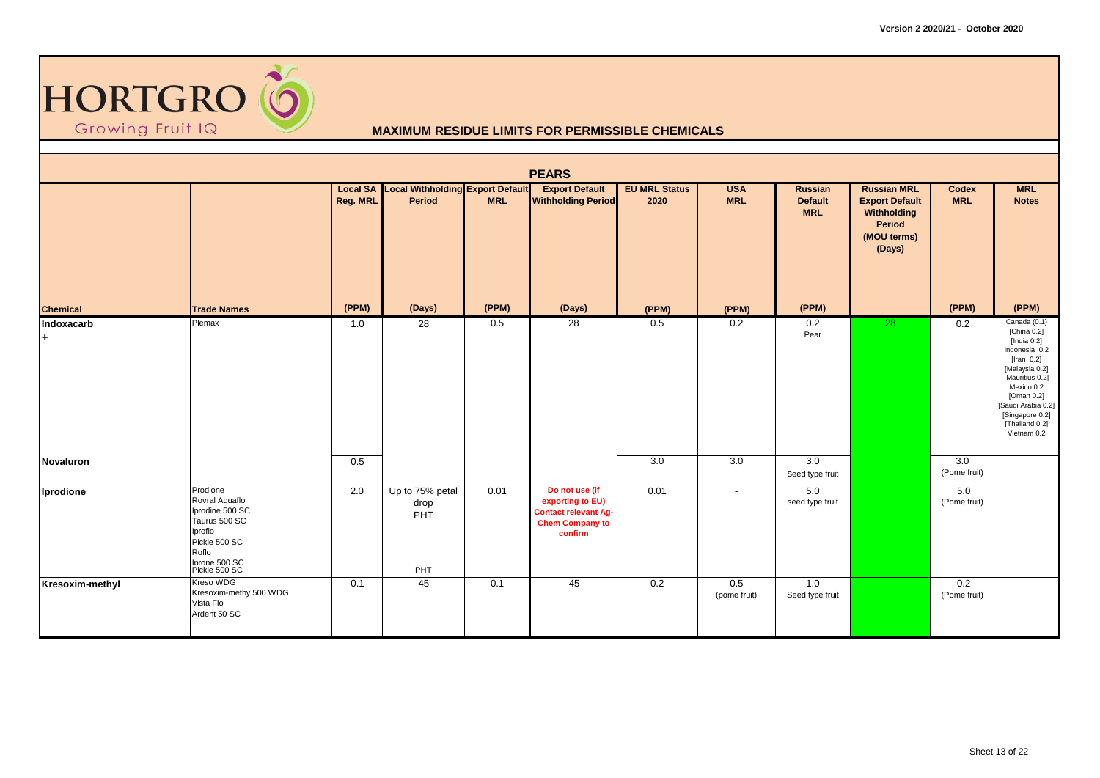

|                  |                                                                                                                                        |          |                                                            |            | <b>PEARS</b>                                                                                           |                              |                          |                                         |                                                                                               |                                  |                                                                                                                                                                                                                            |
|------------------|----------------------------------------------------------------------------------------------------------------------------------------|----------|------------------------------------------------------------|------------|--------------------------------------------------------------------------------------------------------|------------------------------|--------------------------|-----------------------------------------|-----------------------------------------------------------------------------------------------|----------------------------------|----------------------------------------------------------------------------------------------------------------------------------------------------------------------------------------------------------------------------|
|                  |                                                                                                                                        | Reg. MRL | <b>Local SA Local Withholding Export Default</b><br>Period | <b>MRL</b> | <b>Export Default</b><br><b>Withholding Period</b>                                                     | <b>EU MRL Status</b><br>2020 | <b>USA</b><br><b>MRL</b> | Russian<br><b>Default</b><br><b>MRL</b> | <b>Russian MRL</b><br><b>Export Default</b><br>Withholding<br>Period<br>(MOU terms)<br>(Days) | Codex<br><b>MRL</b>              | <b>MRL</b><br><b>Notes</b>                                                                                                                                                                                                 |
| <b>Chemical</b>  | <b>Trade Names</b>                                                                                                                     | (PPM)    | (Days)                                                     | (PPM)      | (Days)                                                                                                 | (PPM)                        | (PPM)                    | (PPM)                                   |                                                                                               | (PPM)                            | (PPM)                                                                                                                                                                                                                      |
| Indoxacarb<br>l+ | Plemax                                                                                                                                 | 1.0      | 28                                                         | 0.5        | 28                                                                                                     | 0.5                          | 0.2                      | 0.2<br>Pear                             | $\overline{28}$                                                                               | 0.2                              | Canada (0.1)<br>[China 0.2]<br>[India $0.2$ ]<br>Indonesia 0.2<br>[Iran $0.2$ ]<br>[Malaysia 0.2]<br>[Mauritius 0.2]<br>Mexico 0.2<br>[Oman 0.2]<br>[Saudi Arabia 0.2]<br>[Singapore 0.2]<br>[Thailand 0.2]<br>Vietnam 0.2 |
| Novaluron        |                                                                                                                                        | 0.5      |                                                            |            |                                                                                                        | 3.0                          | $\overline{3.0}$         | $\overline{3.0}$<br>Seed type fruit     |                                                                                               | $\overline{3.0}$<br>(Pome fruit) |                                                                                                                                                                                                                            |
| Iprodione        | Prodione<br>Rovral Aquaflo<br>Iprodine 500 SC<br>Taurus 500 SC<br>Iproflo<br>Pickle 500 SC<br>Roflo<br>Inrone 500 SC.<br>Pickle 500 SC | 2.0      | Up to 75% petal<br>drop<br>PHT<br>PHT                      | 0.01       | Do not use (if<br>exporting to EU)<br><b>Contact relevant Ag-</b><br><b>Chem Company to</b><br>confirm | 0.01                         | $\overline{\phantom{a}}$ | 5.0<br>seed type fruit                  |                                                                                               | 5.0<br>(Pome fruit)              |                                                                                                                                                                                                                            |
| Kresoxim-methyl  | Kreso WDG<br>Kresoxim-methy 500 WDG<br>Vista Flo<br>Ardent 50 SC                                                                       | 0.1      | 45                                                         | 0.1        | 45                                                                                                     | 0.2                          | 0.5<br>(pome fruit)      | 1.0<br>Seed type fruit                  |                                                                                               | 0.2<br>(Pome fruit)              |                                                                                                                                                                                                                            |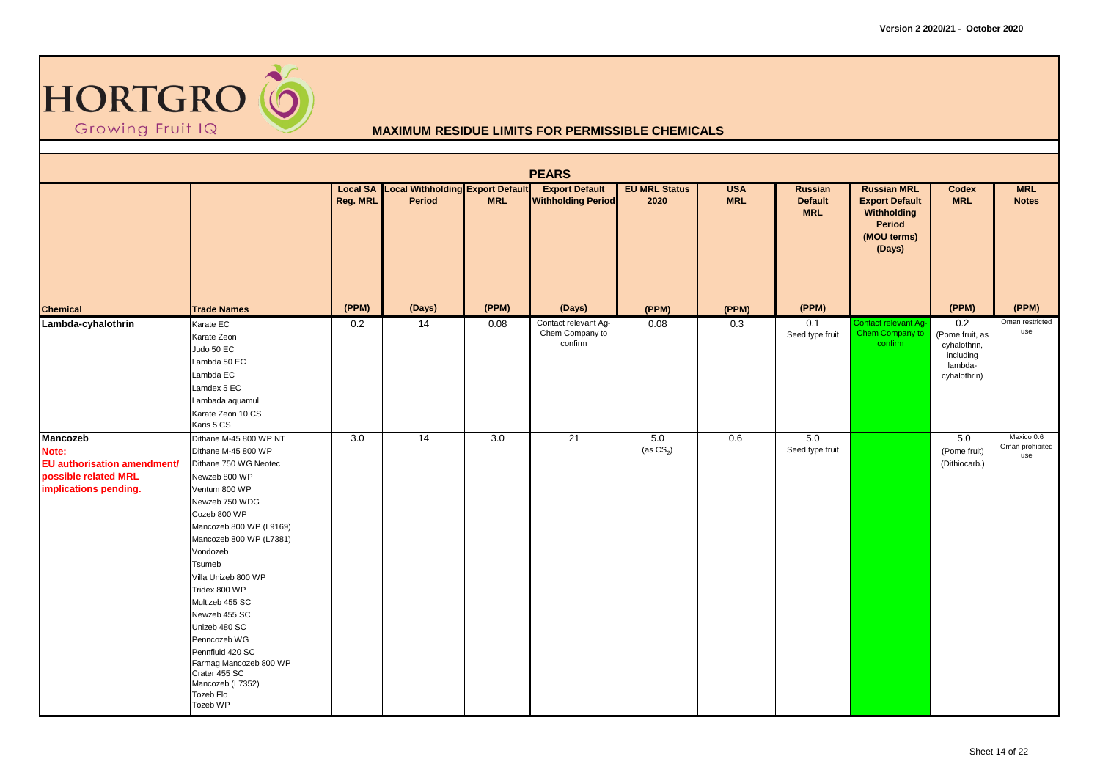

|                                                                                                          |                                                                                                                                                                                                                                                                                                                                                                                                                                                 |          |                                                     |                  | <b>PEARS</b>                                       |                              |                          |                                                |                                                                                               |                                                                                |                                      |
|----------------------------------------------------------------------------------------------------------|-------------------------------------------------------------------------------------------------------------------------------------------------------------------------------------------------------------------------------------------------------------------------------------------------------------------------------------------------------------------------------------------------------------------------------------------------|----------|-----------------------------------------------------|------------------|----------------------------------------------------|------------------------------|--------------------------|------------------------------------------------|-----------------------------------------------------------------------------------------------|--------------------------------------------------------------------------------|--------------------------------------|
|                                                                                                          |                                                                                                                                                                                                                                                                                                                                                                                                                                                 | Reg. MRL | Local SA Local Withholding Export Default<br>Period | <b>MRL</b>       | <b>Export Default</b><br><b>Withholding Period</b> | <b>EU MRL Status</b><br>2020 | <b>USA</b><br><b>MRL</b> | <b>Russian</b><br><b>Default</b><br><b>MRL</b> | <b>Russian MRL</b><br><b>Export Default</b><br>Withholding<br>Period<br>(MOU terms)<br>(Days) | <b>Codex</b><br><b>MRL</b>                                                     | <b>MRL</b><br><b>Notes</b>           |
| <b>Chemical</b>                                                                                          | <b>Trade Names</b>                                                                                                                                                                                                                                                                                                                                                                                                                              | (PPM)    | (Days)                                              | (PPM)            | (Days)                                             | (PPM)                        | (PPM)                    | (PPM)                                          |                                                                                               | (PPM)                                                                          | (PPM)                                |
| Lambda-cyhalothrin                                                                                       | Karate EC<br>Karate Zeon<br>Judo 50 EC<br>Lambda 50 EC<br>Lambda EC<br>Lamdex 5 EC<br>Lambada aquamul<br>Karate Zeon 10 CS<br>Karis 5 CS                                                                                                                                                                                                                                                                                                        | 0.2      | 14                                                  | 0.08             | Contact relevant Ag-<br>Chem Company to<br>confirm | 0.08                         | 0.3                      | 0.1<br>Seed type fruit                         | <b>Contact relevant Ag-</b><br>Chem Company to<br>confirm                                     | 0.2<br>(Pome fruit, as<br>cyhalothrin,<br>including<br>lambda-<br>cyhalothrin) | Oman restricted<br>use               |
| <b>Mancozeb</b><br>Note:<br>EU authorisation amendment/<br>possible related MRL<br>implications pending. | Dithane M-45 800 WP NT<br>Dithane M-45 800 WP<br>Dithane 750 WG Neotec<br>Newzeb 800 WP<br>Ventum 800 WP<br>Newzeb 750 WDG<br>Cozeb 800 WP<br>Mancozeb 800 WP (L9169)<br>Mancozeb 800 WP (L7381)<br>Vondozeb<br>Tsumeb<br>Villa Unizeb 800 WP<br>Tridex 800 WP<br>Multizeb 455 SC<br>Newzeb 455 SC<br>Unizeb 480 SC<br>Penncozeb WG<br>Pennfluid 420 SC<br>Farmag Mancozeb 800 WP<br>Crater 455 SC<br>Mancozeb (L7352)<br>Tozeb Flo<br>Tozeb WP | 3.0      | 14                                                  | $\overline{3.0}$ | 21                                                 | 5.0<br>(as $CS_2$ )          | 0.6                      | 5.0<br>Seed type fruit                         |                                                                                               | 5.0<br>(Pome fruit)<br>(Dithiocarb.)                                           | Mexico 0.6<br>Oman prohibited<br>use |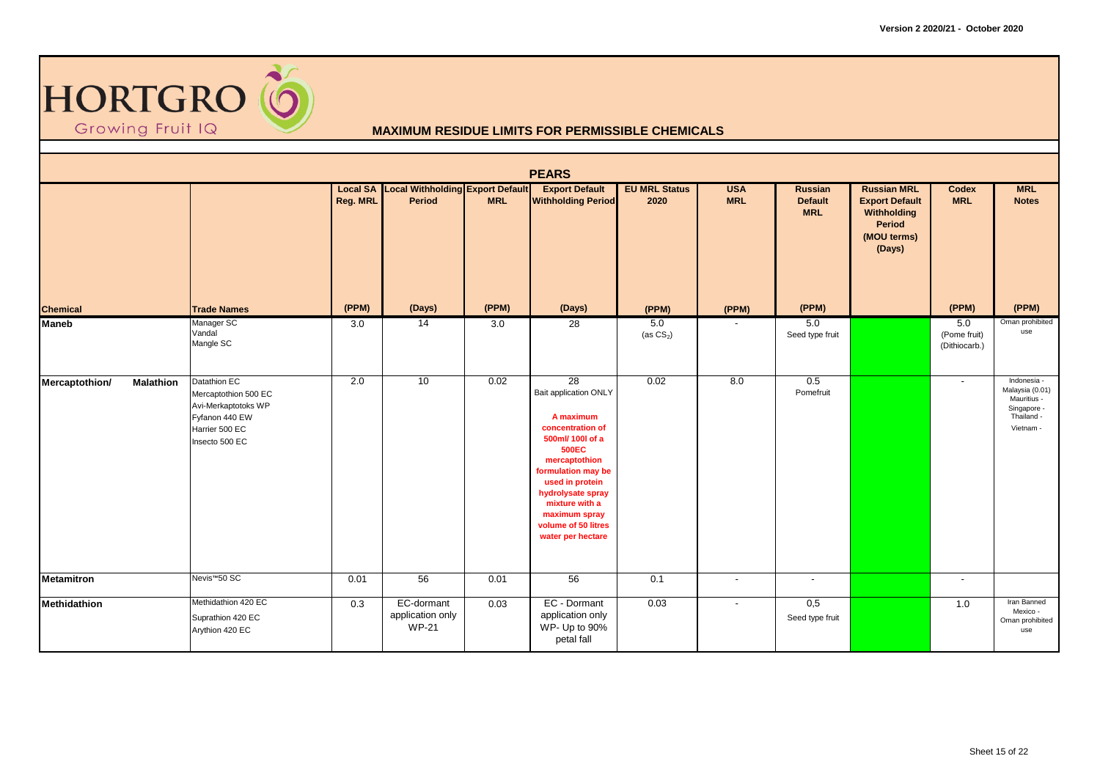

|                                    |                                                                                                                   |          |                                                            |            | <b>PEARS</b>                                                                                                                                                                                                                                                   |                              |                          |                                         |                                                                                               |                                      |                                                                                         |
|------------------------------------|-------------------------------------------------------------------------------------------------------------------|----------|------------------------------------------------------------|------------|----------------------------------------------------------------------------------------------------------------------------------------------------------------------------------------------------------------------------------------------------------------|------------------------------|--------------------------|-----------------------------------------|-----------------------------------------------------------------------------------------------|--------------------------------------|-----------------------------------------------------------------------------------------|
|                                    |                                                                                                                   | Reg. MRL | <b>Local SA Local Withholding Export Default</b><br>Period | <b>MRL</b> | <b>Export Default</b><br><b>Withholding Period</b>                                                                                                                                                                                                             | <b>EU MRL Status</b><br>2020 | <b>USA</b><br><b>MRL</b> | Russian<br><b>Default</b><br><b>MRL</b> | <b>Russian MRL</b><br><b>Export Default</b><br>Withholding<br>Period<br>(MOU terms)<br>(Days) | Codex<br><b>MRL</b>                  | <b>MRL</b><br><b>Notes</b>                                                              |
| <b>Chemical</b>                    | <b>Trade Names</b>                                                                                                | (PPM)    | (Days)                                                     | (PPM)      | (Days)                                                                                                                                                                                                                                                         | (PPM)                        | (PPM)                    | (PPM)                                   |                                                                                               | (PPM)                                | (PPM)                                                                                   |
| <b>Maneb</b>                       | Manager SC<br>Vandal<br>Mangle SC                                                                                 | 3.0      | 14                                                         | 3.0        | 28                                                                                                                                                                                                                                                             | 5.0<br>(as $CS2$ )           |                          | 5.0<br>Seed type fruit                  |                                                                                               | 5.0<br>(Pome fruit)<br>(Dithiocarb.) | Oman prohibited<br>use                                                                  |
| Mercaptothion/<br><b>Malathion</b> | Datathion EC<br>Mercaptothion 500 EC<br>Avi-Merkaptotoks WP<br>Fyfanon 440 EW<br>Harrier 500 EC<br>Insecto 500 EC | 2.0      | 10                                                         | 0.02       | 28<br>Bait application ONLY<br>A maximum<br>concentration of<br>500ml/ 100l of a<br><b>500EC</b><br>mercaptothion<br>formulation may be<br>used in protein<br>hydrolysate spray<br>mixture with a<br>maximum spray<br>volume of 50 litres<br>water per hectare | 0.02                         | 8.0                      | 0.5<br>Pomefruit                        |                                                                                               | $\overline{\phantom{a}}$             | Indonesia -<br>Malaysia (0.01)<br>Mauritius -<br>Singapore -<br>Thailand -<br>Vietnam - |
| <b>Metamitron</b>                  | Nevis <sup>™50</sup> SC                                                                                           | 0.01     | 56                                                         | 0.01       | 56                                                                                                                                                                                                                                                             | 0.1                          | $\sim$                   | $\overline{\phantom{a}}$                |                                                                                               | $\overline{\phantom{a}}$             |                                                                                         |
| Methidathion                       | Methidathion 420 EC<br>Suprathion 420 EC<br>Arythion 420 EC                                                       | 0.3      | EC-dormant<br>application only<br><b>WP-21</b>             | 0.03       | EC - Dormant<br>application only<br>WP- Up to 90%<br>petal fall                                                                                                                                                                                                | 0.03                         | $\overline{\phantom{a}}$ | 0,5<br>Seed type fruit                  |                                                                                               | 1.0                                  | Iran Banned<br>Mexico -<br>Oman prohibited<br>use                                       |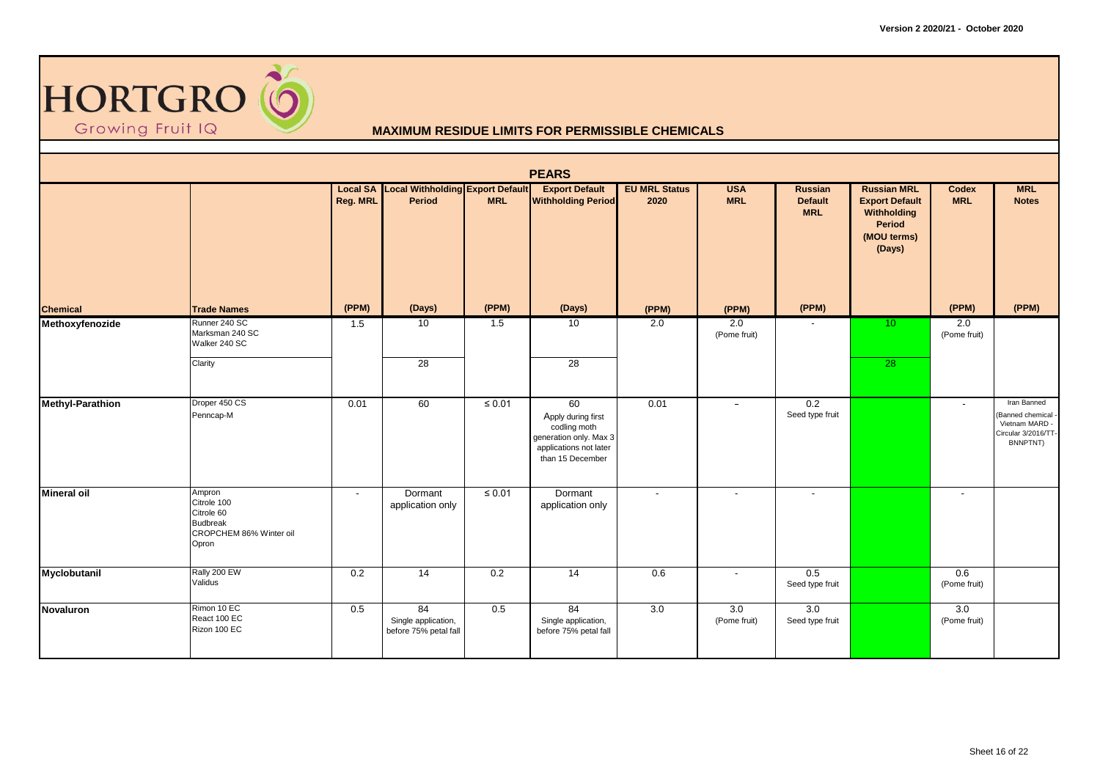

|                         |                                                                                            |          |                                                            |             | <b>PEARS</b>                                                                                                     |                              |                          |                                         |                                                                                               |                          |                                                                                      |
|-------------------------|--------------------------------------------------------------------------------------------|----------|------------------------------------------------------------|-------------|------------------------------------------------------------------------------------------------------------------|------------------------------|--------------------------|-----------------------------------------|-----------------------------------------------------------------------------------------------|--------------------------|--------------------------------------------------------------------------------------|
|                         |                                                                                            | Reg. MRL | <b>Local SA Local Withholding Export Default</b><br>Period | <b>MRL</b>  | <b>Export Default</b><br><b>Withholding Period</b>                                                               | <b>EU MRL Status</b><br>2020 | <b>USA</b><br><b>MRL</b> | Russian<br><b>Default</b><br><b>MRL</b> | <b>Russian MRL</b><br><b>Export Default</b><br>Withholding<br>Period<br>(MOU terms)<br>(Days) | Codex<br><b>MRL</b>      | <b>MRL</b><br><b>Notes</b>                                                           |
| <b>Chemical</b>         | <b>Trade Names</b>                                                                         | (PPM)    | (Days)                                                     | (PPM)       | (Days)                                                                                                           | (PPM)                        | (PPM)                    | (PPM)                                   |                                                                                               | (PPM)                    | (PPM)                                                                                |
| Methoxyfenozide         | Runner 240 SC<br>Marksman 240 SC<br>Walker 240 SC<br>Clarity                               | 1.5      | 10<br>$\overline{28}$                                      | 1.5         | 10<br>$\overline{28}$                                                                                            | 2.0                          | 2.0<br>(Pome fruit)      |                                         | 10 <sup>°</sup><br>$\overline{28}$                                                            | 2.0<br>(Pome fruit)      |                                                                                      |
|                         |                                                                                            |          |                                                            |             |                                                                                                                  |                              |                          |                                         |                                                                                               |                          |                                                                                      |
| <b>Methyl-Parathion</b> | Droper 450 CS<br>Penncap-M                                                                 | 0.01     | 60                                                         | $\leq 0.01$ | 60<br>Apply during first<br>codling moth<br>generation only. Max 3<br>applications not later<br>than 15 December | 0.01                         | $\overline{\phantom{a}}$ | 0.2<br>Seed type fruit                  |                                                                                               | $\overline{\phantom{a}}$ | Iran Banned<br>(Banned chemical<br>Vietnam MARD -<br>Circular 3/2016/TT-<br>BNNPTNT) |
| <b>Mineral oil</b>      | Ampron<br>Citrole 100<br>Citrole 60<br><b>Budbreak</b><br>CROPCHEM 86% Winter oil<br>Opron | $\sim$   | Dormant<br>application only                                | $\leq 0.01$ | Dormant<br>application only                                                                                      | $\overline{\phantom{a}}$     | $\overline{\phantom{a}}$ | $\blacksquare$                          |                                                                                               | $\blacksquare$           |                                                                                      |
| Myclobutanil            | Rally 200 EW<br>Validus                                                                    | 0.2      | 14                                                         | 0.2         | 14                                                                                                               | 0.6                          | $\sim$                   | 0.5<br>Seed type fruit                  |                                                                                               | 0.6<br>(Pome fruit)      |                                                                                      |
| Novaluron               | Rimon 10 EC<br>React 100 EC<br>Rizon 100 EC                                                | 0.5      | 84<br>Single application,<br>before 75% petal fall         | 0.5         | 84<br>Single application,<br>before 75% petal fall                                                               | 3.0                          | 3.0<br>(Pome fruit)      | 3.0<br>Seed type fruit                  |                                                                                               | 3.0<br>(Pome fruit)      |                                                                                      |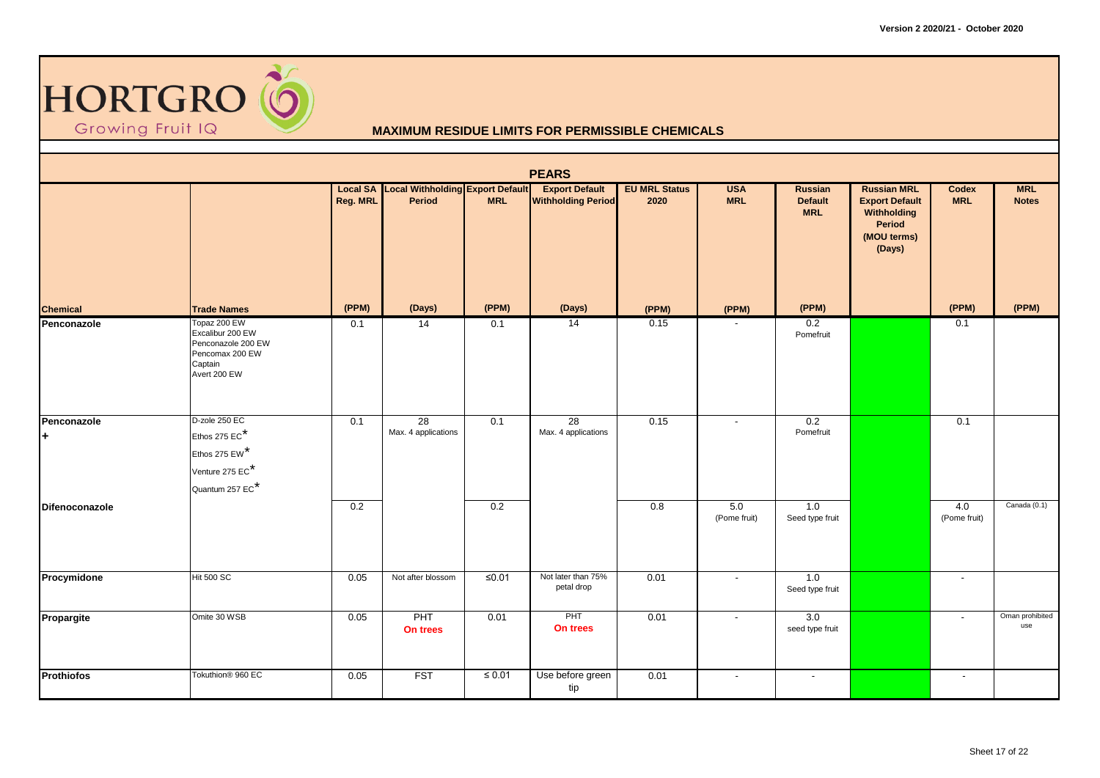

|                   |                                                                                                      |          |                                                            |             | <b>PEARS</b>                                       |                              |                          |                                         |                                                                                               |                          |                            |
|-------------------|------------------------------------------------------------------------------------------------------|----------|------------------------------------------------------------|-------------|----------------------------------------------------|------------------------------|--------------------------|-----------------------------------------|-----------------------------------------------------------------------------------------------|--------------------------|----------------------------|
|                   |                                                                                                      | Reg. MRL | <b>Local SA Local Withholding Export Default</b><br>Period | <b>MRL</b>  | <b>Export Default</b><br><b>Withholding Period</b> | <b>EU MRL Status</b><br>2020 | <b>USA</b><br><b>MRL</b> | Russian<br><b>Default</b><br><b>MRL</b> | <b>Russian MRL</b><br><b>Export Default</b><br>Withholding<br>Period<br>(MOU terms)<br>(Days) | Codex<br><b>MRL</b>      | <b>MRL</b><br><b>Notes</b> |
| <b>Chemical</b>   | <b>Trade Names</b>                                                                                   | (PPM)    | (Days)                                                     | (PPM)       | (Days)                                             | (PPM)                        | (PPM)                    | (PPM)                                   |                                                                                               | (PPM)                    | (PPM)                      |
| Penconazole       | Topaz 200 EW<br>Excalibur 200 EW<br>Penconazole 200 EW<br>Pencomax 200 EW<br>Captain<br>Avert 200 EW | 0.1      | 14                                                         | 0.1         | $\overline{14}$                                    | 0.15                         |                          | $\overline{0.2}$<br>Pomefruit           |                                                                                               | 0.1                      |                            |
| Penconazole<br>l+ | D-zole 250 EC<br>Ethos 275 EC*                                                                       | 0.1      | 28<br>Max. 4 applications                                  | 0.1         | 28<br>Max. 4 applications                          | 0.15                         | $\overline{\phantom{a}}$ | 0.2<br>Pomefruit                        |                                                                                               | 0.1                      |                            |
|                   | Ethos 275 EW*                                                                                        |          |                                                            |             |                                                    |                              |                          |                                         |                                                                                               |                          |                            |
|                   | Venture 275 EC*<br>Quantum 257 EC <sup>*</sup>                                                       |          |                                                            |             |                                                    |                              |                          |                                         |                                                                                               |                          |                            |
| Difenoconazole    |                                                                                                      | 0.2      |                                                            | 0.2         |                                                    | $\overline{0.8}$             | 5.0<br>(Pome fruit)      | 1.0<br>Seed type fruit                  |                                                                                               | 4.0<br>(Pome fruit)      | Canada (0.1)               |
| Procymidone       | <b>Hit 500 SC</b>                                                                                    | 0.05     | Not after blossom                                          | $≤0.01$     | Not later than 75%<br>petal drop                   | 0.01                         | $\sim$                   | 1.0<br>Seed type fruit                  |                                                                                               | $\overline{\phantom{a}}$ |                            |
| Propargite        | Omite 30 WSB                                                                                         | 0.05     | PHT<br>On trees                                            | 0.01        | PHT<br>On trees                                    | 0.01                         | $\overline{\phantom{a}}$ | 3.0<br>seed type fruit                  |                                                                                               | $\overline{\phantom{a}}$ | Oman prohibited<br>use     |
| <b>Prothiofos</b> | Tokuthion <sup>®</sup> 960 EC                                                                        | 0.05     | <b>FST</b>                                                 | $\leq 0.01$ | Use before green<br>tip                            | 0.01                         | $\overline{\phantom{a}}$ | $\overline{\phantom{a}}$                |                                                                                               | $\overline{\phantom{a}}$ |                            |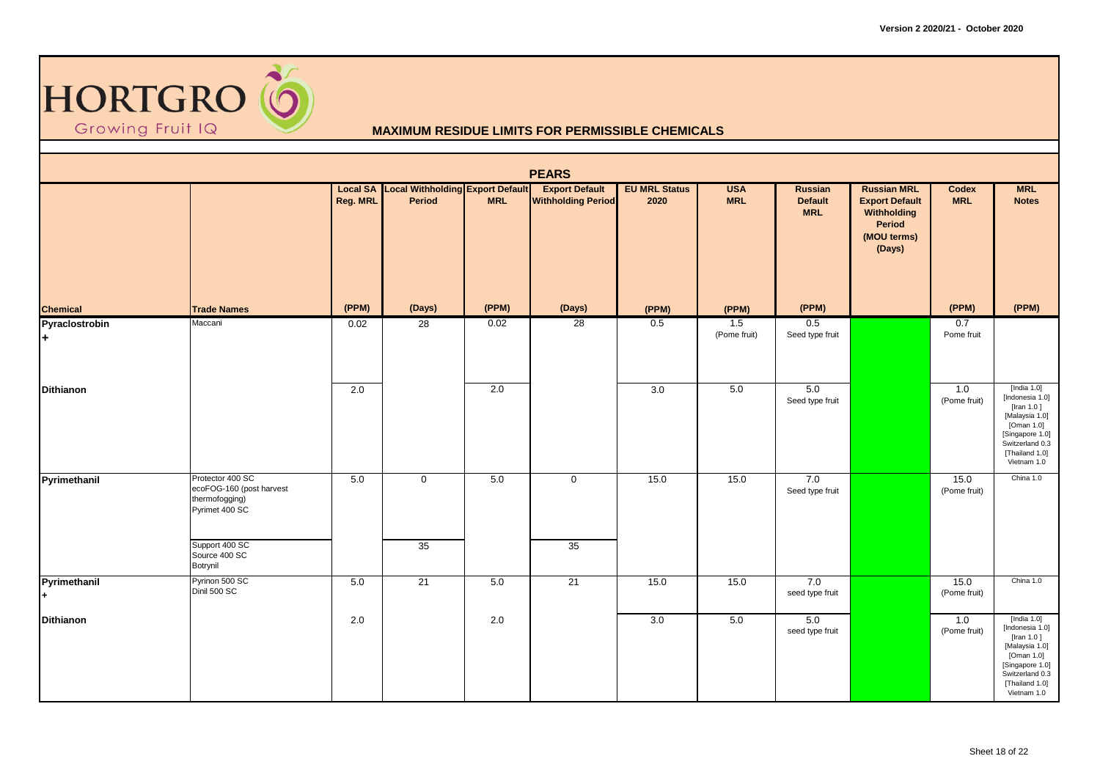

|                      |                                                                                  |          |                                                            |            | <b>PEARS</b>                                       |                              |                          |                                         |                                                                                               |                      |                                                                                                                                                        |
|----------------------|----------------------------------------------------------------------------------|----------|------------------------------------------------------------|------------|----------------------------------------------------|------------------------------|--------------------------|-----------------------------------------|-----------------------------------------------------------------------------------------------|----------------------|--------------------------------------------------------------------------------------------------------------------------------------------------------|
|                      |                                                                                  | Reg. MRL | <b>Local SA Local Withholding Export Default</b><br>Period | <b>MRL</b> | <b>Export Default</b><br><b>Withholding Period</b> | <b>EU MRL Status</b><br>2020 | <b>USA</b><br><b>MRL</b> | Russian<br><b>Default</b><br><b>MRL</b> | <b>Russian MRL</b><br><b>Export Default</b><br>Withholding<br>Period<br>(MOU terms)<br>(Days) | Codex<br><b>MRL</b>  | <b>MRL</b><br><b>Notes</b>                                                                                                                             |
| <b>Chemical</b>      | <b>Trade Names</b>                                                               | (PPM)    | (Days)                                                     | (PPM)      | (Days)                                             | (PPM)                        | (PPM)                    | (PPM)                                   |                                                                                               | (PPM)                | (PPM)                                                                                                                                                  |
| Pyraclostrobin<br>l+ | Maccani                                                                          | 0.02     | 28                                                         | 0.02       | 28                                                 | 0.5                          | 1.5<br>(Pome fruit)      | 0.5<br>Seed type fruit                  |                                                                                               | 0.7<br>Pome fruit    |                                                                                                                                                        |
| <b>Dithianon</b>     |                                                                                  | 2.0      |                                                            | 2.0        |                                                    | 3.0                          | 5.0                      | 5.0<br>Seed type fruit                  |                                                                                               | 1.0<br>(Pome fruit)  | [India $1.0$ ]<br>[Indonesia 1.0]<br>[Iran 1.0]<br>[Malaysia 1.0]<br>[Oman 1.0]<br>[Singapore 1.0]<br>Switzerland 0.3<br>[Thailand 1.0]<br>Vietnam 1.0 |
| Pyrimethanil         | Protector 400 SC<br>ecoFOG-160 (post harvest<br>thermofogging)<br>Pyrimet 400 SC | 5.0      | $\mathbf 0$                                                | 5.0        | $\mathsf{O}\xspace$                                | 15.0                         | 15.0                     | 7.0<br>Seed type fruit                  |                                                                                               | 15.0<br>(Pome fruit) | China 1.0                                                                                                                                              |
|                      | Support 400 SC<br>Source 400 SC<br>Botrynil                                      |          | 35                                                         |            | 35                                                 |                              |                          |                                         |                                                                                               |                      |                                                                                                                                                        |
| Pyrimethanil         | Pyrinon 500 SC<br>Dinil 500 SC                                                   | 5.0      | 21                                                         | 5.0        | 21                                                 | 15.0                         | 15.0                     | 7.0<br>seed type fruit                  |                                                                                               | 15.0<br>(Pome fruit) | China 1.0                                                                                                                                              |
| <b>Dithianon</b>     |                                                                                  | 2.0      |                                                            | 2.0        |                                                    | 3.0                          | 5.0                      | 5.0<br>seed type fruit                  |                                                                                               | 1.0<br>(Pome fruit)  | [India $1.0$ ]<br>[Indonesia 1.0]<br>[Iran 1.0]<br>[Malaysia 1.0]<br>[Oman 1.0]<br>[Singapore 1.0]<br>Switzerland 0.3<br>[Thailand 1.0]<br>Vietnam 1.0 |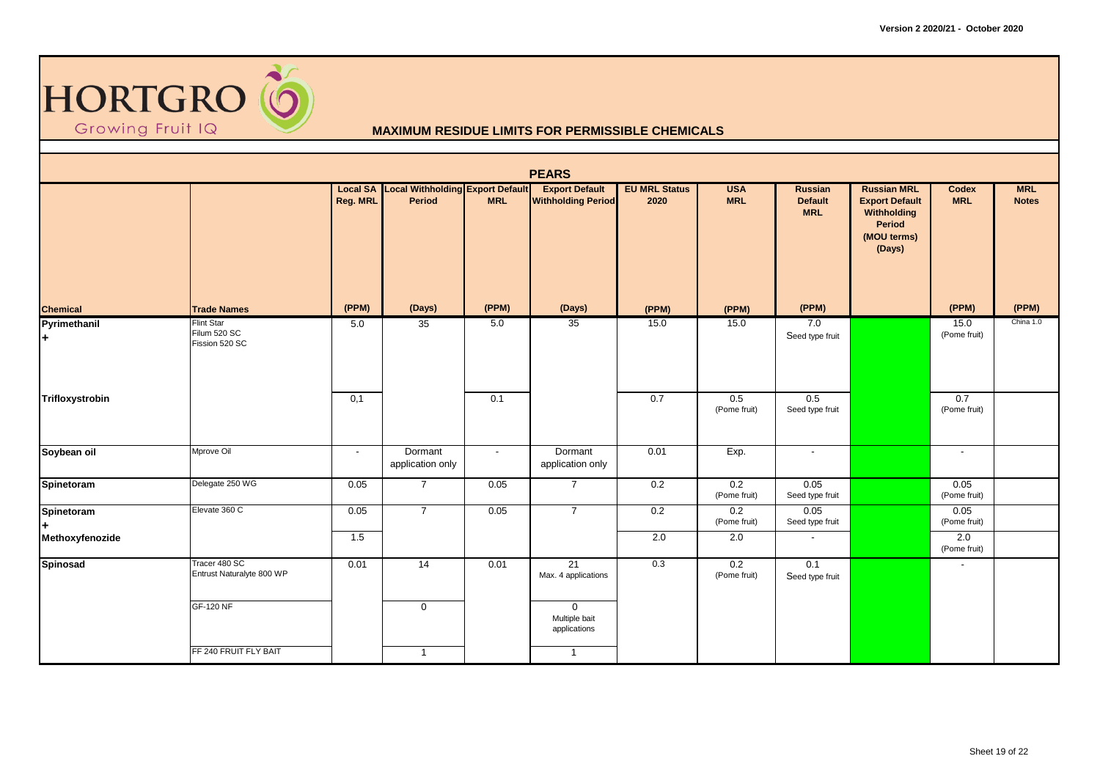

|                    |                                                     |                 |                                                            |            | <b>PEARS</b>                                       |                              |                          |                                         |                                                                                               |                      |                            |
|--------------------|-----------------------------------------------------|-----------------|------------------------------------------------------------|------------|----------------------------------------------------|------------------------------|--------------------------|-----------------------------------------|-----------------------------------------------------------------------------------------------|----------------------|----------------------------|
|                    |                                                     | <b>Reg. MRL</b> | <b>Local SA Local Withholding Export Default</b><br>Period | <b>MRL</b> | <b>Export Default</b><br><b>Withholding Period</b> | <b>EU MRL Status</b><br>2020 | <b>USA</b><br><b>MRL</b> | Russian<br><b>Default</b><br><b>MRL</b> | <b>Russian MRL</b><br><b>Export Default</b><br>Withholding<br>Period<br>(MOU terms)<br>(Days) | Codex<br><b>MRL</b>  | <b>MRL</b><br><b>Notes</b> |
| <b>Chemical</b>    | <b>Trade Names</b>                                  | (PPM)           | (Days)                                                     | (PPM)      | (Days)                                             | (PPM)                        | (PPM)                    | (PPM)                                   |                                                                                               | (PPM)                | (PPM)                      |
| Pyrimethanil<br>l+ | <b>Flint Star</b><br>Filum 520 SC<br>Fission 520 SC | 5.0             | 35                                                         | 5.0        | 35                                                 | 15.0                         | 15.0                     | 7.0<br>Seed type fruit                  |                                                                                               | 15.0<br>(Pome fruit) | China 1.0                  |
| Trifloxystrobin    |                                                     | 0,1             |                                                            | 0.1        |                                                    | 0.7                          | 0.5<br>(Pome fruit)      | 0.5<br>Seed type fruit                  |                                                                                               | 0.7<br>(Pome fruit)  |                            |
| Soybean oil        | Mprove Oil                                          | $\sim$          | Dormant<br>application only                                | $\sim$     | Dormant<br>application only                        | 0.01                         | Exp.                     | $\sim$                                  |                                                                                               | $\sim$               |                            |
| Spinetoram         | Delegate 250 WG                                     | 0.05            | $\overline{7}$                                             | 0.05       | $\overline{7}$                                     | 0.2                          | 0.2<br>(Pome fruit)      | 0.05<br>Seed type fruit                 |                                                                                               | 0.05<br>(Pome fruit) |                            |
| Spinetoram         | Elevate 360 C                                       | 0.05            | $\overline{7}$                                             | 0.05       | $\overline{7}$                                     | 0.2                          | 0.2<br>(Pome fruit)      | 0.05<br>Seed type fruit                 |                                                                                               | 0.05<br>(Pome fruit) |                            |
| Methoxyfenozide    |                                                     | 1.5             |                                                            |            |                                                    | 2.0                          | 2.0                      | $\overline{\phantom{a}}$                |                                                                                               | 2.0<br>(Pome fruit)  |                            |
| Spinosad           | Tracer 480 SC<br>Entrust Naturalyte 800 WP          | 0.01            | 14                                                         | 0.01       | 21<br>Max. 4 applications                          | 0.3                          | 0.2<br>(Pome fruit)      | 0.1<br>Seed type fruit                  |                                                                                               | $\blacksquare$       |                            |
|                    | <b>GF-120 NF</b>                                    |                 | $\mathbf 0$                                                |            | $\mathbf 0$<br>Multiple bait<br>applications       |                              |                          |                                         |                                                                                               |                      |                            |
|                    | FF 240 FRUIT FLY BAIT                               |                 | $\mathbf{1}$                                               |            | $\mathbf{1}$                                       |                              |                          |                                         |                                                                                               |                      |                            |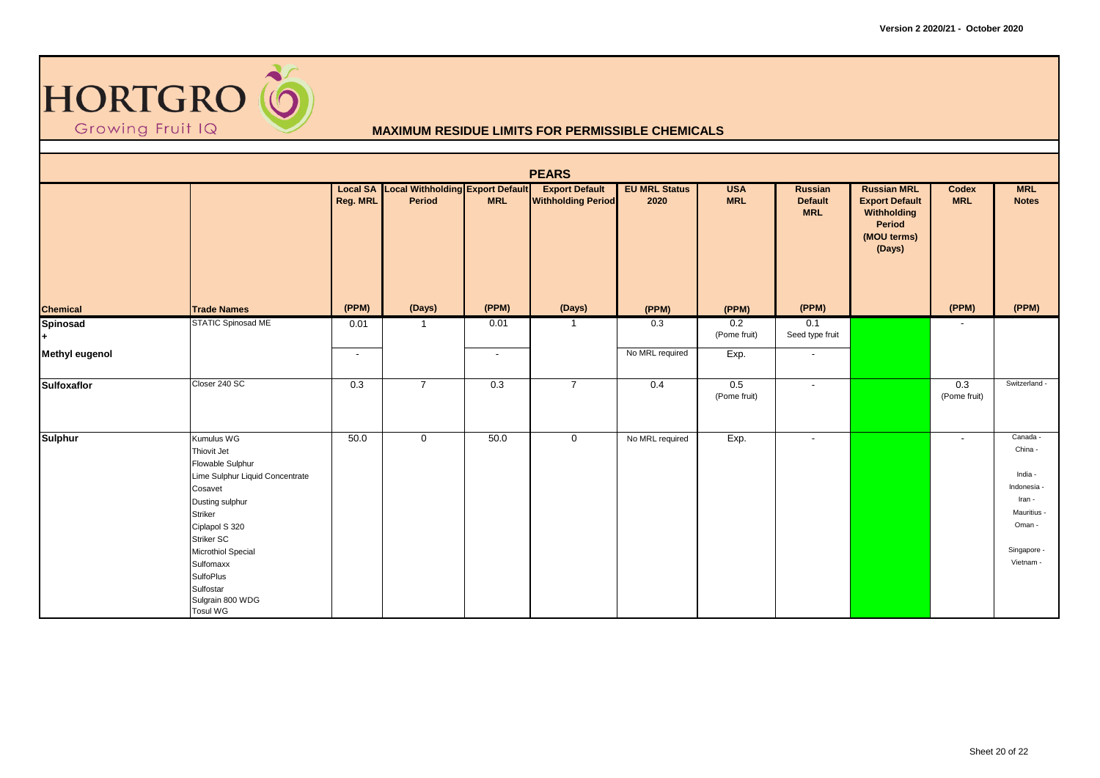

| <b>PEARS</b>          |                                                                                                                                                                                                                                                                      |          |                                                            |                          |                                                    |                              |                          |                                         |                                                                                               |                          |                                                                                                            |  |
|-----------------------|----------------------------------------------------------------------------------------------------------------------------------------------------------------------------------------------------------------------------------------------------------------------|----------|------------------------------------------------------------|--------------------------|----------------------------------------------------|------------------------------|--------------------------|-----------------------------------------|-----------------------------------------------------------------------------------------------|--------------------------|------------------------------------------------------------------------------------------------------------|--|
|                       |                                                                                                                                                                                                                                                                      | Reg. MRL | <b>Local SA Local Withholding Export Default</b><br>Period | <b>MRL</b>               | <b>Export Default</b><br><b>Withholding Period</b> | <b>EU MRL Status</b><br>2020 | <b>USA</b><br><b>MRL</b> | Russian<br><b>Default</b><br><b>MRL</b> | <b>Russian MRL</b><br><b>Export Default</b><br>Withholding<br>Period<br>(MOU terms)<br>(Days) | Codex<br><b>MRL</b>      | <b>MRL</b><br><b>Notes</b>                                                                                 |  |
| <b>Chemical</b>       | <b>Trade Names</b>                                                                                                                                                                                                                                                   | (PPM)    | (Days)                                                     | (PPM)                    | (Days)                                             | (PPM)                        | (PPM)                    | (PPM)                                   |                                                                                               | (PPM)                    | (PPM)                                                                                                      |  |
| Spinosad<br>l+.       | <b>STATIC Spinosad ME</b>                                                                                                                                                                                                                                            | 0.01     | -1                                                         | 0.01                     |                                                    | 0.3                          | 0.2<br>(Pome fruit)      | 0.1<br>Seed type fruit                  |                                                                                               | $\overline{\phantom{a}}$ |                                                                                                            |  |
| <b>Methyl eugenol</b> |                                                                                                                                                                                                                                                                      | $\sim$   |                                                            | $\overline{\phantom{a}}$ |                                                    | No MRL required              | Exp.                     | $\overline{\phantom{a}}$                |                                                                                               |                          |                                                                                                            |  |
| Sulfoxaflor           | Closer 240 SC                                                                                                                                                                                                                                                        | 0.3      | $\overline{7}$                                             | 0.3                      | $\overline{7}$                                     | 0.4                          | 0.5<br>(Pome fruit)      | $\overline{\phantom{a}}$                |                                                                                               | 0.3<br>(Pome fruit)      | Switzerland -                                                                                              |  |
| <b>Sulphur</b>        | Kumulus WG<br>Thiovit Jet<br>Flowable Sulphur<br>Lime Sulphur Liquid Concentrate<br>Cosavet<br>Dusting sulphur<br>Striker<br>Ciplapol S 320<br>Striker SC<br>Microthiol Special<br>Sulfomaxx<br><b>SulfoPlus</b><br>Sulfostar<br>Sulgrain 800 WDG<br><b>Tosul WG</b> | 50.0     | $\mathbf 0$                                                | 50.0                     | $\mathbf 0$                                        | No MRL required              | Exp.                     | $\sim$                                  |                                                                                               | $\overline{\phantom{a}}$ | Canada -<br>China -<br>India -<br>Indonesia<br>Iran -<br>Mauritius -<br>Oman -<br>Singapore -<br>Vietnam - |  |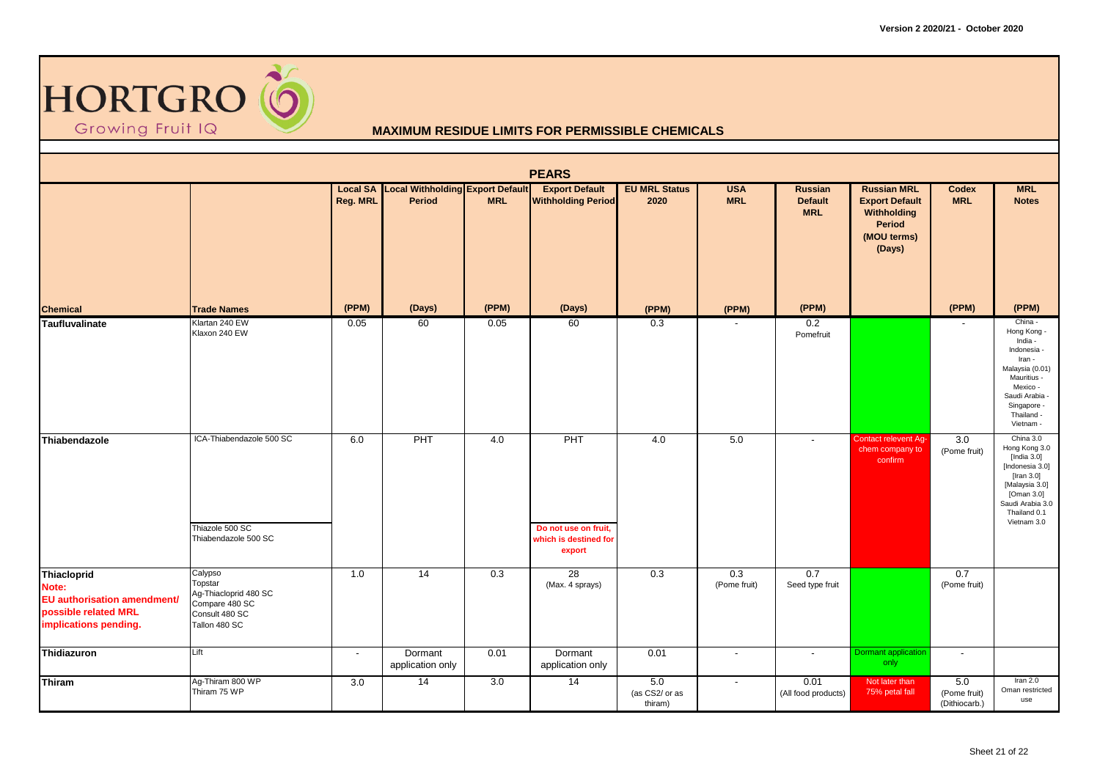

|                                                                                                                    |                                                                                                  |                             |                                                   |            | <b>PEARS</b>                                                   |                                      |                          |                                                |                                                                                               |                                      |                                                                                                                                                                      |
|--------------------------------------------------------------------------------------------------------------------|--------------------------------------------------------------------------------------------------|-----------------------------|---------------------------------------------------|------------|----------------------------------------------------------------|--------------------------------------|--------------------------|------------------------------------------------|-----------------------------------------------------------------------------------------------|--------------------------------------|----------------------------------------------------------------------------------------------------------------------------------------------------------------------|
|                                                                                                                    |                                                                                                  | <b>Local SA</b><br>Reg. MRL | <b>Local Withholding Export Default</b><br>Period | <b>MRL</b> | <b>Export Default</b><br><b>Withholding Period</b>             | <b>EU MRL Status</b><br>2020         | <b>USA</b><br><b>MRL</b> | <b>Russian</b><br><b>Default</b><br><b>MRL</b> | <b>Russian MRL</b><br><b>Export Default</b><br>Withholding<br>Period<br>(MOU terms)<br>(Days) | Codex<br><b>MRL</b>                  | <b>MRL</b><br><b>Notes</b>                                                                                                                                           |
| <b>Chemical</b>                                                                                                    | <b>Trade Names</b>                                                                               | (PPM)                       | (Days)                                            | (PPM)      | (Days)                                                         | (PPM)                                | (PPM)                    | (PPM)                                          |                                                                                               | (PPM)                                | (PPM)                                                                                                                                                                |
| Taufluvalinate                                                                                                     | Klartan 240 EW<br>Klaxon 240 EW                                                                  | 0.05                        | 60                                                | 0.05       | 60                                                             | 0.3                                  |                          | 0.2<br>Pomefruit                               |                                                                                               | $\overline{a}$                       | China -<br>Hong Kong -<br>India -<br>Indonesia -<br>Iran -<br>Malaysia (0.01)<br>Mauritius -<br>Mexico -<br>Saudi Arabia -<br>Singapore -<br>Thailand -<br>Vietnam - |
| Thiabendazole                                                                                                      | ICA-Thiabendazole 500 SC<br>Thiazole 500 SC<br>Thiabendazole 500 SC                              | 6.0                         | PHT                                               | 4.0        | PHT<br>Do not use on fruit,<br>which is destined for<br>export | 4.0                                  | 5.0                      | $\blacksquare$                                 | Contact relevent Ag-<br>chem company to<br>confirm                                            | $\overline{3.0}$<br>(Pome fruit)     | China 3.0<br>Hong Kong 3.0<br>[India 3.0]<br>[Indonesia 3.0]<br>[Iran 3.0]<br>[Malaysia 3.0]<br>[Oman 3.0]<br>Saudi Arabia 3.0<br>Thailand 0.1<br>Vietnam 3.0        |
| <b>Thiacloprid</b><br>Note:<br><b>EU</b> authorisation amendment/<br>possible related MRL<br>implications pending. | Calypso<br>Topstar<br>Ag-Thiacloprid 480 SC<br>Compare 480 SC<br>Consult 480 SC<br>Tallon 480 SC | 1.0                         | 14                                                | 0.3        | 28<br>(Max. 4 sprays)                                          | 0.3                                  | 0.3<br>(Pome fruit)      | 0.7<br>Seed type fruit                         |                                                                                               | 0.7<br>(Pome fruit)                  |                                                                                                                                                                      |
| Thidiazuron                                                                                                        | Lift                                                                                             | $\overline{\phantom{a}}$    | Dormant<br>application only                       | 0.01       | Dormant<br>application only                                    | 0.01                                 | $\overline{\phantom{a}}$ | $\blacksquare$                                 | <b>Dormant application</b><br>only                                                            | $\overline{\phantom{a}}$             |                                                                                                                                                                      |
| Thiram                                                                                                             | Ag-Thiram 800 WP<br>Thiram 75 WP                                                                 | 3.0                         | 14                                                | 3.0        | $\overline{14}$                                                | $5.0\,$<br>(as CS2/ or as<br>thiram) | $\overline{\phantom{a}}$ | 0.01<br>(All food products)                    | Not later than<br>75% petal fall                                                              | 5.0<br>(Pome fruit)<br>(Dithiocarb.) | Iran $2.0$<br>Oman restricted<br>use                                                                                                                                 |